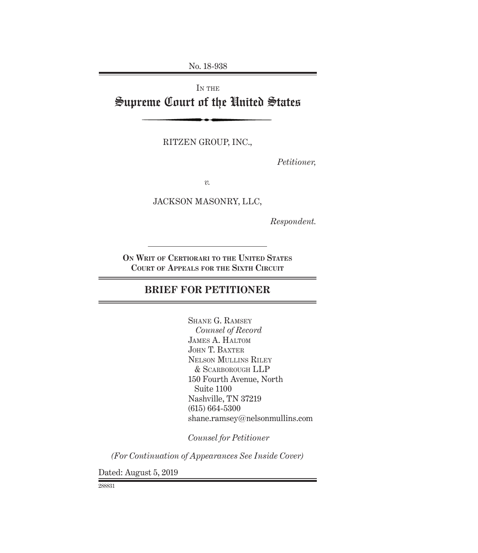No. 18-938

# IN THE Supreme Court of the United States

RITZEN GROUP, INC.,

*Petitioner,*

*v.*

JACKSON MASONRY, LLC,

*Respondent.*

**On Writ of Certiorari to the United States Court of Appeals for the Sixth Circuit**

## **BRIEF FOR PETITIONER**

Shane G. Ramsey *Counsel of Record*  James A. Haltom JOHN T. BAXTER Nelson Mullins Riley & Scarborough LLP 150 Fourth Avenue, North Suite 1100 Nashville, TN 37219 (615) 664-5300 shane.ramsey@nelsonmullins.com

*Counsel for Petitioner*

*(For Continuation of Appearances See Inside Cover)*

Dated: August 5, 2019

288831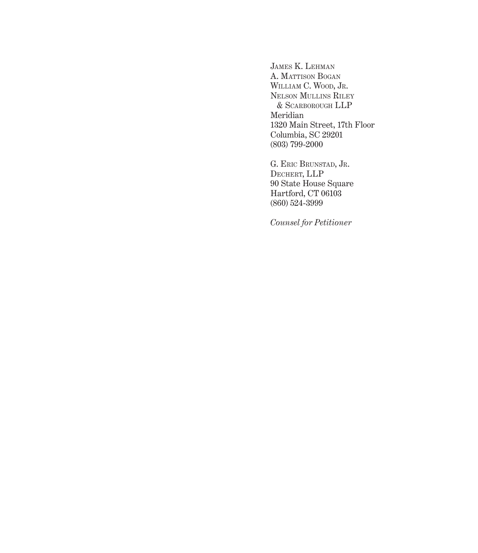James K. Lehman A. MATTISON BOGAN WILLIAM C. WOOD, JR. Nelson Mullins Riley & Scarborough LLP Meridian 1320 Main Street, 17th Floor Columbia, SC 29201 (803) 799-2000

G. ERIC BRUNSTAD, JR. Dechert, LLP 90 State House Square Hartford, CT 06103 (860) 524-3999

*Counsel for Petitioner*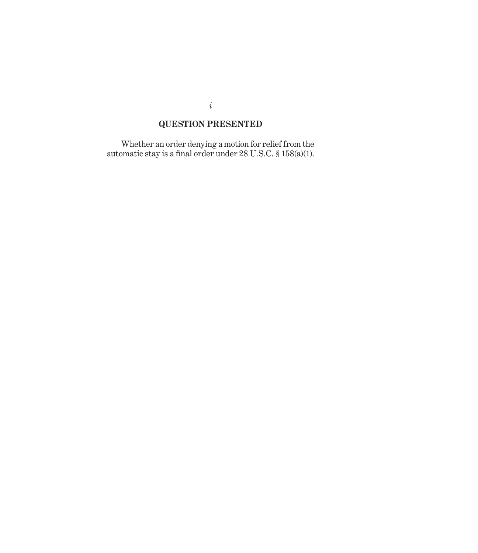## **QUESTION PRESENTED**

Whether an order denying a motion for relief from the automatic stay is a final order under 28 U.S.C. § 158(a)(1).

*i*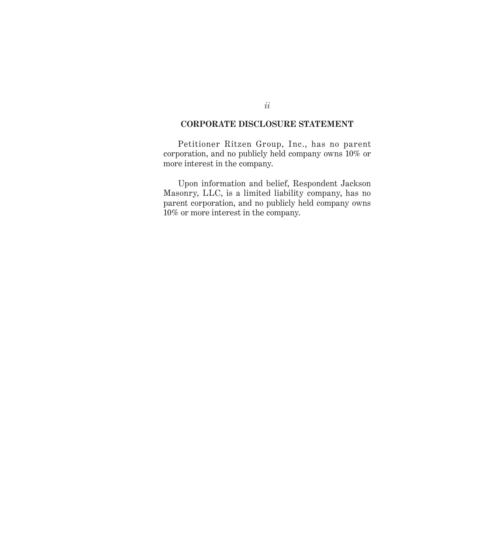### **CORPORATE DISCLOSURE STATEMENT**

Petitioner Ritzen Group, Inc., has no parent corporation, and no publicly held company owns 10% or more interest in the company.

Upon information and belief, Respondent Jackson Masonry, LLC, is a limited liability company, has no parent corporation, and no publicly held company owns 10% or more interest in the company.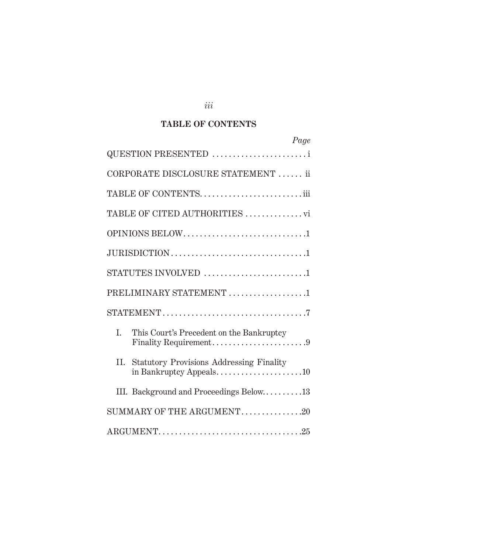### **TABLE OF CONTENTS**

| Page                                                                    |
|-------------------------------------------------------------------------|
| QUESTION PRESENTED                                                      |
| CORPORATE DISCLOSURE STATEMENT  ii                                      |
|                                                                         |
| TABLE OF CITED AUTHORITIES vi                                           |
| OPINIONS BELOW1                                                         |
|                                                                         |
| STATUTES INVOLVED 1                                                     |
| PRELIMINARY STATEMENT 1                                                 |
|                                                                         |
| L.<br>This Court's Precedent on the Bankruptcy<br>Finality Requirement9 |
| II. Statutory Provisions Addressing Finality                            |
| III. Background and Proceedings Below13                                 |
| SUMMARY OF THE ARGUMENT20                                               |
|                                                                         |

*iii*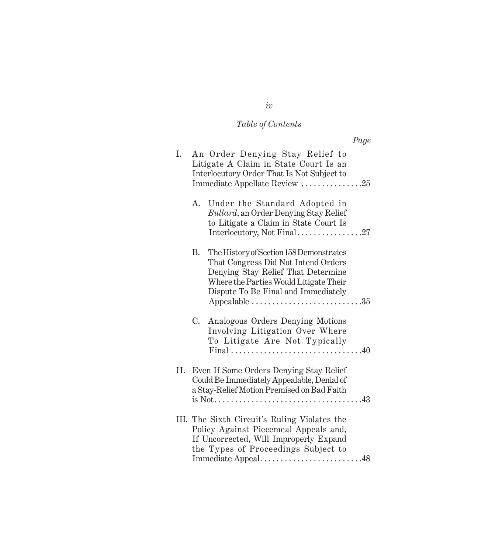# *Table of Contents*

| I. |    | An Order Denying Stay Relief to<br>Litigate A Claim in State Court Is an<br>Interlocutory Order That Is Not Subject to<br>Immediate Appellate Review 25                                                                                                          |
|----|----|------------------------------------------------------------------------------------------------------------------------------------------------------------------------------------------------------------------------------------------------------------------|
|    | А. | Under the Standard Adopted in<br>Bullard, an Order Denying Stay Relief<br>to Litigate a Claim in State Court Is<br>Interlocutory, Not Final27                                                                                                                    |
|    | В. | The History of Section 158 Demonstrates<br>That Congress Did Not Intend Orders<br>Denying Stay Relief That Determine<br>Where the Parties Would Litigate Their<br>Dispute To Be Final and Immediately<br>Appealable $\dots\dots\dots\dots\dots\dots\dots\dots35$ |
|    | C. | Analogous Orders Denying Motions<br>Involving Litigation Over Where<br>To Litigate Are Not Typically                                                                                                                                                             |
|    |    | II. Even If Some Orders Denying Stay Relief<br>Could Be Immediately Appealable, Denial of<br>a Stay-Relief Motion Premised on Bad Faith                                                                                                                          |
|    |    | III. The Sixth Circuit's Ruling Violates the<br>Policy Against Piecemeal Appeals and,<br>If Uncorrected, Will Improperly Expand<br>the Types of Proceedings Subject to<br>Immediate Appeal48                                                                     |

*iv*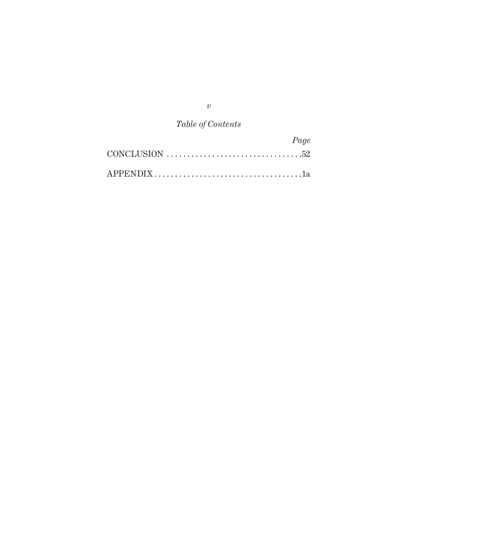*v*

# *Table of Contents*

|                                                                                       | Page |
|---------------------------------------------------------------------------------------|------|
| CONCLUSION $\ldots \ldots \ldots \ldots \ldots \ldots \ldots \ldots \ldots \ldots 52$ |      |
|                                                                                       |      |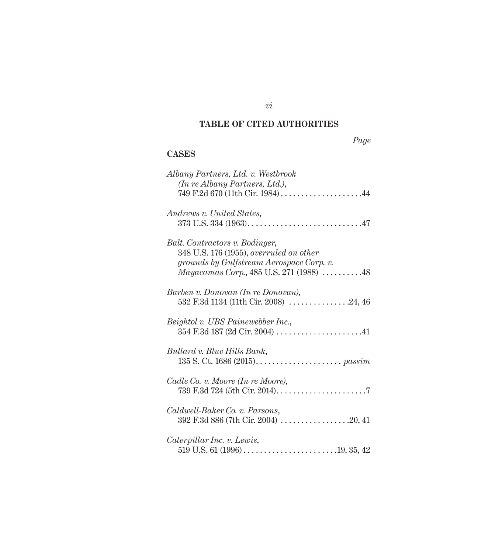## **TABLE OF CITED AUTHORITIES**

*Page*

## **CASES**

| Albany Partners, Ltd. v. Westbrook       |
|------------------------------------------|
| (In re Albany Partners, Ltd.),           |
| 749 F.2d 670 (11th Cir. 1984)44          |
|                                          |
| Andrews v. United States,                |
|                                          |
|                                          |
| Balt. Contractors v. Bodinger,           |
| 348 U.S. 176 (1955), overruled on other  |
| grounds by Gulfstream Aerospace Corp. v. |
| Mayacamas Corp., 485 U.S. 271 (1988) 48  |
|                                          |
| Barben v. Donovan (In re Donovan),       |
| 532 F.3d 1134 (11th Cir. 2008) 24, 46    |
| Beightol v. UBS Painewebber Inc.,        |
|                                          |
|                                          |
| Bullard v. Blue Hills Bank,              |
|                                          |
|                                          |
| Cadle Co. v. Moore (In re Moore),        |
|                                          |
|                                          |
| Caldwell-Baker Co. v. Parsons,           |
|                                          |
|                                          |
| Caterpillar Inc. v. Lewis,               |
|                                          |

*vi*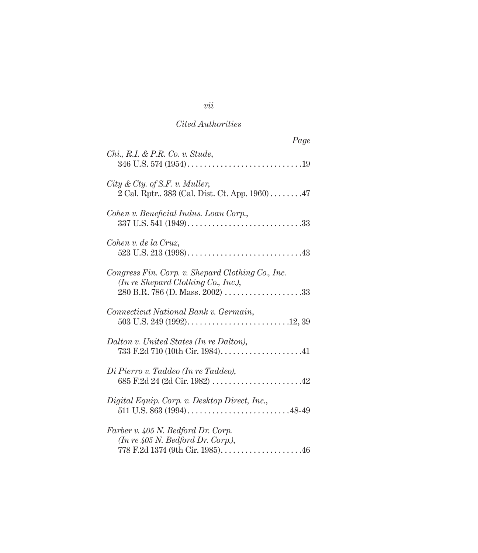| Page                                                                                                                                            |
|-------------------------------------------------------------------------------------------------------------------------------------------------|
| $Chi, R.I. \& P.R. Co. v. Stude,$                                                                                                               |
| City & Cty. of S.F. v. Muller,<br>2 Cal. Rptr 383 (Cal. Dist. Ct. App. 1960) 47                                                                 |
| Cohen v. Beneficial Indus. Loan Corp.,                                                                                                          |
| Cohen v. de la Cruz,                                                                                                                            |
| Congress Fin. Corp. v. Shepard Clothing Co., Inc.<br>$(In \, re \, Shepard \, Clothing \, Co., \, Inc.),$                                       |
| Connecticut National Bank v. Germain,                                                                                                           |
| Dalton v. United States (In re Dalton),                                                                                                         |
| Di Pierro v. Taddeo (In re Taddeo),                                                                                                             |
| Digital Equip. Corp. v. Desktop Direct, Inc.,                                                                                                   |
| Farber v. 405 N. Bedford Dr. Corp.<br>$(In \rightharpoondown 405 N. \text{Bedford Dr. Corp.}),$<br>778 F.2d 1374 (9th Cir. 1985). $\ldots$ . 46 |

*vii*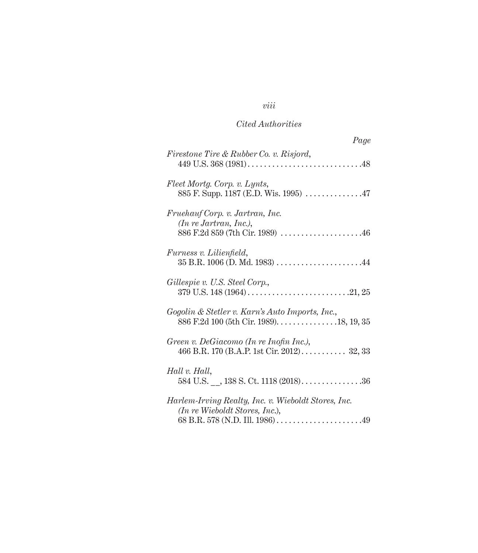## *viii*

## *Cited Authorities*

| Page                                                                                           |
|------------------------------------------------------------------------------------------------|
| <i>Firestone Tire &amp; Rubber Co. v. Risjord,</i>                                             |
| Fleet Mortg. Corp. v. Lynts,                                                                   |
| Fruehauf Corp. v. Jartran, Inc.<br>$(In$ re Jartran, Inc.),<br>886 F.2d 859 (7th Cir. 1989) 46 |
| <i>Furness v. Lilienfield,</i><br>$35$ B.R. 1006 (D. Md. 1983) 44                              |
| Gillespie v. U.S. Steel Corp.,                                                                 |
| Gogolin & Stetler v. Karn's Auto Imports, Inc.,                                                |
| Green v. DeGiacomo (In re Inofin Inc.),<br>466 B.R. 170 (B.A.P. 1st Cir. 2012) 32, 33          |
| Hall v. Hall,<br>584 U.S. , 138 S. Ct. 1118 $(2018)$ 36                                        |
| Harlem-Irving Realty, Inc. v. Wieboldt Stores, Inc.<br>$(In$ re Wieboldt Stores, Inc.),        |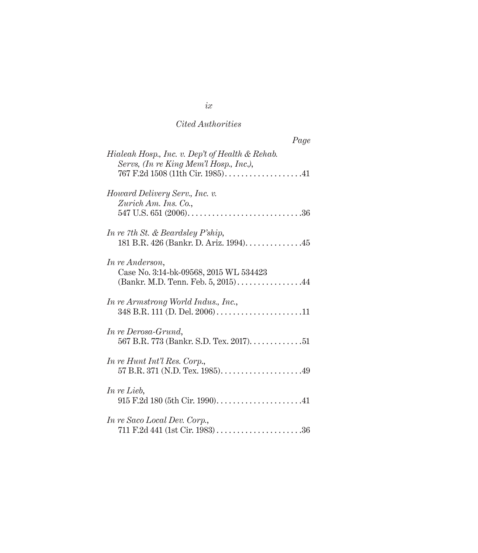| Page                                                                                            |
|-------------------------------------------------------------------------------------------------|
| Hialeah Hosp., Inc. v. Dep't of Health & Rehab.<br>Servs, (In re King Mem'l Hosp., Inc.),       |
| Howard Delivery Serv., Inc. v.<br>Zurich Am. Ins. Co.,                                          |
| In re 7th St. & Beardsley P'ship,<br>181 B.R. 426 (Bankr. D. Ariz. 1994). 45                    |
| In re Anderson,<br>Case No. 3:14-bk-09568, 2015 WL 534423<br>(Bankr. M.D. Tenn. Feb. 5, 2015)44 |
| In re Armstrong World Indus., Inc.,<br>348 B.R. 111 (D. Del. 2006)11                            |
| In re Derosa-Grund,<br>567 B.R. 773 (Bankr. S.D. Tex. 2017). 51                                 |
| In re Hunt Int'l Res. Corp.,<br>57 B.R. 371 (N.D. Tex. 1985). $\dots$ . 49                      |
| In re Lieb,<br>915 F.2d 180 (5th Cir. 1990)41                                                   |
| In re Saco Local Dev. Corp.,                                                                    |

*ix*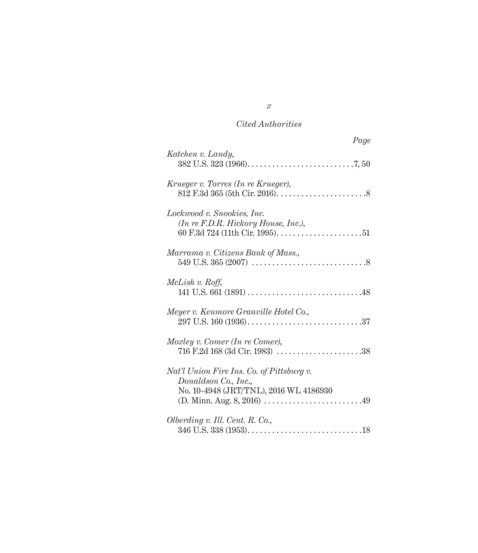| Katchen v. Landy,<br>Krueger v. Torres (In re Krueger),<br>Lockwood v. Snookies, Inc.<br>(In re F.D.R. Hickory House, Inc.),<br>Marrama v. Citizens Bank of Mass.,<br>McLish v. Roff,<br>Meyer v. Kenmore Granville Hotel Co.,<br>Moxley v. Comer (In re Comer),<br>716 F.2d 168 (3d Cir. 1983) 38<br>Nat'l Union Fire Ins. Co. of Pittsburg v. |
|-------------------------------------------------------------------------------------------------------------------------------------------------------------------------------------------------------------------------------------------------------------------------------------------------------------------------------------------------|
|                                                                                                                                                                                                                                                                                                                                                 |
|                                                                                                                                                                                                                                                                                                                                                 |
|                                                                                                                                                                                                                                                                                                                                                 |
|                                                                                                                                                                                                                                                                                                                                                 |
|                                                                                                                                                                                                                                                                                                                                                 |
|                                                                                                                                                                                                                                                                                                                                                 |
|                                                                                                                                                                                                                                                                                                                                                 |
|                                                                                                                                                                                                                                                                                                                                                 |
| Donaldson Co., Inc.,<br>No. 10-4948 (JRT/TNL), 2016 WL 4186930                                                                                                                                                                                                                                                                                  |
| Olberding v. Ill. Cent. R. Co.,                                                                                                                                                                                                                                                                                                                 |

*x*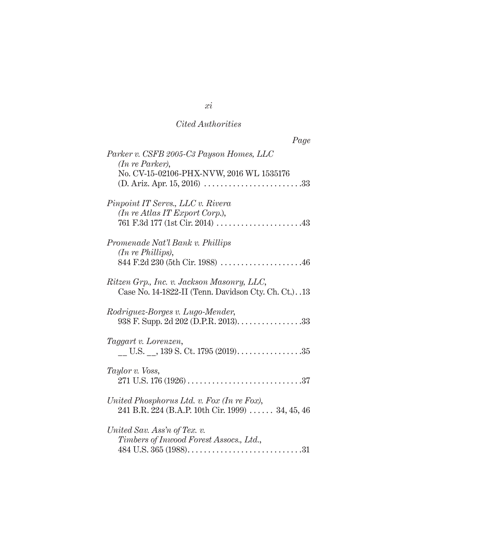| Page                                                                                                    |  |
|---------------------------------------------------------------------------------------------------------|--|
| Parker v. CSFB 2005-C3 Payson Homes, LLC<br>(In re Parker),<br>No. CV-15-02106-PHX-NVW, 2016 WL 1535176 |  |
| Pinpoint IT Servs., LLC v. Rivera<br>$(In$ re Atlas IT Export Corp.),                                   |  |
| Promenade Nat'l Bank v. Phillips<br>$(In \, re \, Phillips),$<br>844 F.2d 230 (5th Cir. 1988) 46        |  |
| Ritzen Grp., Inc. v. Jackson Masonry, LLC,<br>Case No. 14-1822-II (Tenn. Davidson Cty. Ch. Ct.). .13    |  |
| Rodriguez-Borges v. Lugo-Mender,                                                                        |  |
| Taggart v. Lorenzen,<br>U.S. , $139$ S. Ct. $1795(2019)$ 35                                             |  |
| Taylor v. Voss,                                                                                         |  |
| United Phosphorus Ltd. v. Fox (In re Fox),<br>241 B.R. 224 (B.A.P. 10th Cir. 1999)  34, 45, 46          |  |
| United Sav. Ass'n of Tex. v.<br>Timbers of Inwood Forest Assocs., Ltd.,                                 |  |

*xi*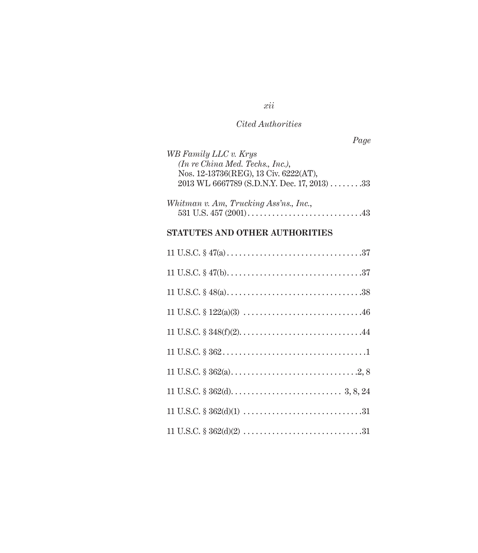*Page*

| 2013 WL 6667789 (S.D.N.Y. Dec. 17, 2013) 33 |
|---------------------------------------------|
|                                             |
|                                             |
|                                             |
|                                             |
|                                             |

## **STATUTES AND OTHER AUTHORITIES**

*xii*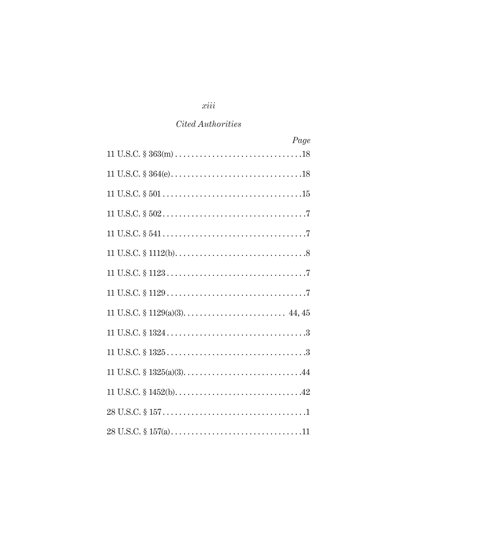## *xiii*

### *Cited Authorities*

| Page |
|------|
|      |
|      |
|      |
|      |
|      |
|      |
|      |
|      |
|      |
|      |
|      |
|      |
|      |
|      |
|      |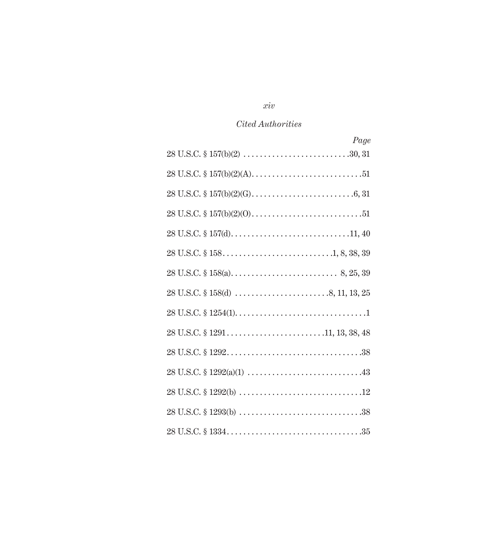## *xiv*

## *Cited Authorities*

| Page |
|------|
|      |
|      |
|      |
|      |
|      |
|      |
|      |
|      |
|      |
|      |
|      |
|      |
|      |
|      |
|      |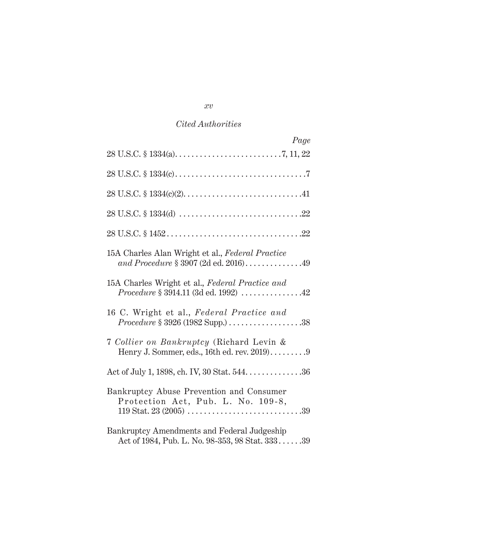| Page                                                                                                                              |
|-----------------------------------------------------------------------------------------------------------------------------------|
|                                                                                                                                   |
|                                                                                                                                   |
|                                                                                                                                   |
|                                                                                                                                   |
|                                                                                                                                   |
| 15A Charles Alan Wright et al., Federal Practice<br>and Procedure § 3907 (2d ed. 2016)49                                          |
| 15A Charles Wright et al., Federal Practice and<br>$\emph{Proceedure \S~} 3914.11~(3d~\emph{ed.}~1992)~\ldots. \ldots. \ldots.42$ |
| 16 C. Wright et al., Federal Practice and                                                                                         |
| 7 Collier on Bankruptcy (Richard Levin &<br>Henry J. Sommer, eds., 16th ed. rev. 2019)9                                           |
| Act of July 1, 1898, ch. IV, 30 Stat. 544. 36                                                                                     |
| Bankruptcy Abuse Prevention and Consumer<br>Protection Act, Pub. L. No. 109-8,                                                    |
| Bankruptcy Amendments and Federal Judgeship<br>Act of 1984, Pub. L. No. 98-353, 98 Stat. 33339                                    |

*xv*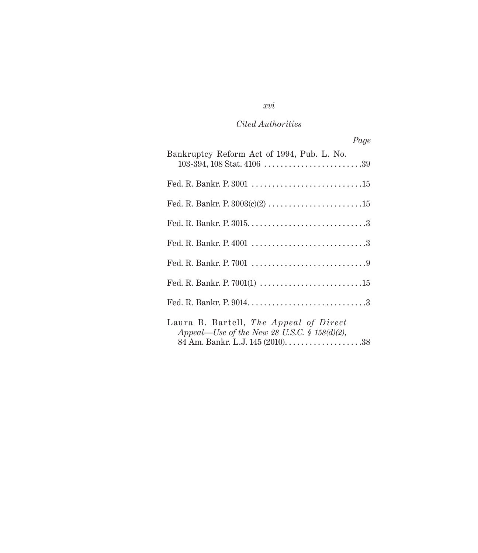## *xvi*

### *Cited Authorities*

| Page                                                                                   |
|----------------------------------------------------------------------------------------|
| Bankruptcy Reform Act of 1994, Pub. L. No.                                             |
|                                                                                        |
|                                                                                        |
|                                                                                        |
|                                                                                        |
|                                                                                        |
|                                                                                        |
|                                                                                        |
| Laura B. Bartell, The Appeal of Direct<br>Appeal—Use of the New 28 U.S.C. § 158(d)(2), |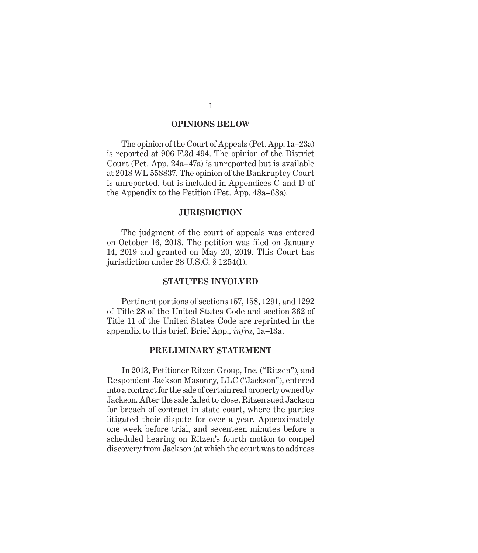#### **OPINIONS BELOW**

The opinion of the Court of Appeals (Pet. App. 1a–23a) is reported at 906 F.3d 494. The opinion of the District Court (Pet. App. 24a–47a) is unreported but is available at 2018 WL 558837. The opinion of the Bankruptcy Court is unreported, but is included in Appendices C and D of the Appendix to the Petition (Pet. App. 48a–68a).

#### **JURISDICTION**

The judgment of the court of appeals was entered on October 16, 2018. The petition was filed on January 14, 2019 and granted on May 20, 2019. This Court has jurisdiction under 28 U.S.C. § 1254(1).

#### **STATUTES INVOLVED**

Pertinent portions of sections 157, 158, 1291, and 1292 of Title 28 of the United States Code and section 362 of Title 11 of the United States Code are reprinted in the appendix to this brief. Brief App., *infra*, 1a–13a.

### **PRELIMINARY STATEMENT**

In 2013, Petitioner Ritzen Group, Inc. ("Ritzen"), and Respondent Jackson Masonry, LLC ("Jackson"), entered into a contract for the sale of certain real property owned by Jackson. After the sale failed to close, Ritzen sued Jackson for breach of contract in state court, where the parties litigated their dispute for over a year. Approximately one week before trial, and seventeen minutes before a scheduled hearing on Ritzen's fourth motion to compel discovery from Jackson (at which the court was to address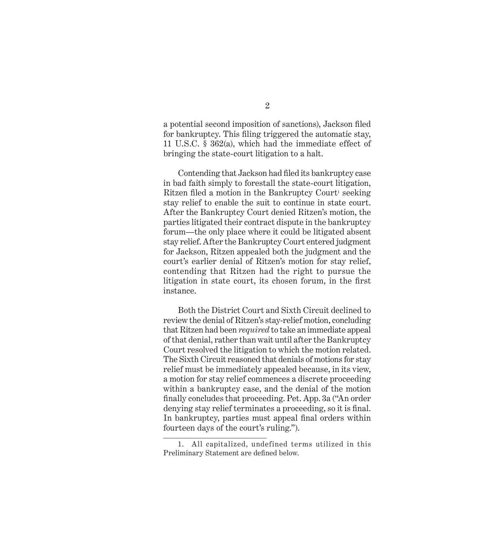a potential second imposition of sanctions), Jackson filed for bankruptcy. This filing triggered the automatic stay, 11 U.S.C. § 362(a), which had the immediate effect of bringing the state-court litigation to a halt.

Contending that Jackson had filed its bankruptcy case in bad faith simply to forestall the state-court litigation, Ritzen filed a motion in the Bankruptcy Court<sup>1</sup> seeking stay relief to enable the suit to continue in state court. After the Bankruptcy Court denied Ritzen's motion, the parties litigated their contract dispute in the bankruptcy forum—the only place where it could be litigated absent stay relief. After the Bankruptcy Court entered judgment for Jackson, Ritzen appealed both the judgment and the court's earlier denial of Ritzen's motion for stay relief, contending that Ritzen had the right to pursue the litigation in state court, its chosen forum, in the first instance.

Both the District Court and Sixth Circuit declined to review the denial of Ritzen's stay-relief motion, concluding that Ritzen had been *required* to take an immediate appeal of that denial, rather than wait until after the Bankruptcy Court resolved the litigation to which the motion related. The Sixth Circuit reasoned that denials of motions for stay relief must be immediately appealed because, in its view, a motion for stay relief commences a discrete proceeding within a bankruptcy case, and the denial of the motion finally concludes that proceeding. Pet. App. 3a ("An order denying stay relief terminates a proceeding, so it is final. In bankruptcy, parties must appeal final orders within fourteen days of the court's ruling.").

<sup>1.</sup> All capitalized, undefined terms utilized in this Preliminary Statement are defined below.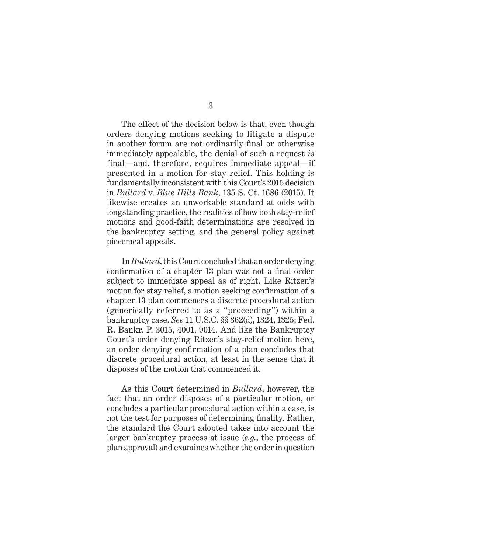The effect of the decision below is that, even though orders denying motions seeking to litigate a dispute in another forum are not ordinarily final or otherwise immediately appealable, the denial of such a request *is* final—and, therefore, requires immediate appeal—if presented in a motion for stay relief. This holding is fundamentally inconsistent with this Court's 2015 decision in *Bullard* v. *Blue Hills Bank*, 135 S. Ct. 1686 (2015). It likewise creates an unworkable standard at odds with longstanding practice, the realities of how both stay-relief motions and good-faith determinations are resolved in the bankruptcy setting, and the general policy against piecemeal appeals.

In *Bullard*, this Court concluded that an order denying confirmation of a chapter 13 plan was not a final order subject to immediate appeal as of right. Like Ritzen's motion for stay relief, a motion seeking confirmation of a chapter 13 plan commences a discrete procedural action (generically referred to as a "proceeding") within a bankruptcy case. *See* 11 U.S.C. §§ 362(d), 1324, 1325; Fed. R. Bankr. P. 3015, 4001, 9014. And like the Bankruptcy Court's order denying Ritzen's stay-relief motion here, an order denying confirmation of a plan concludes that discrete procedural action, at least in the sense that it disposes of the motion that commenced it.

As this Court determined in *Bullard*, however, the fact that an order disposes of a particular motion, or concludes a particular procedural action within a case, is not the test for purposes of determining finality. Rather, the standard the Court adopted takes into account the larger bankruptcy process at issue (*e.g.*, the process of plan approval) and examines whether the order in question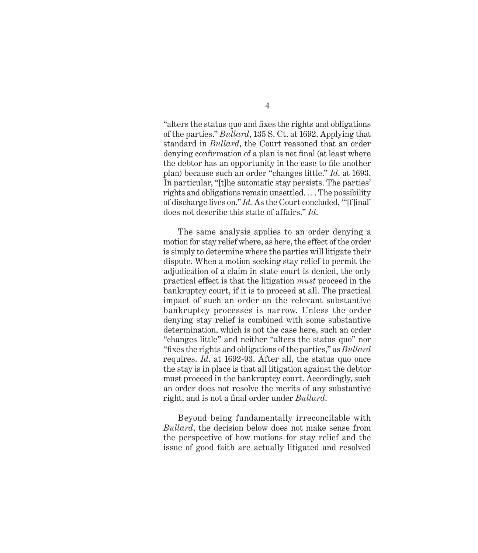"alters the status quo and fixes the rights and obligations of the parties." *Bullard*, 135 S. Ct. at 1692. Applying that standard in *Bullard*, the Court reasoned that an order denying confirmation of a plan is not final (at least where the debtor has an opportunity in the case to file another plan) because such an order "changes little." *Id*. at 1693. In particular, "[t]he automatic stay persists. The parties' rights and obligations remain unsettled. . . . The possibility of discharge lives on." *Id.* As the Court concluded, "'[f]inal' does not describe this state of affairs." *Id*.

The same analysis applies to an order denying a motion for stay relief where, as here, the effect of the order is simply to determine where the parties will litigate their dispute. When a motion seeking stay relief to permit the adjudication of a claim in state court is denied, the only practical effect is that the litigation *must* proceed in the bankruptcy court, if it is to proceed at all. The practical impact of such an order on the relevant substantive bankruptcy processes is narrow. Unless the order denying stay relief is combined with some substantive determination, which is not the case here, such an order "changes little" and neither "alters the status quo" nor "fixes the rights and obligations of the parties," as *Bullard* requires. *Id*. at 1692-93. After all, the status quo once the stay is in place is that all litigation against the debtor must proceed in the bankruptcy court. Accordingly, such an order does not resolve the merits of any substantive right, and is not a final order under *Bullard*.

Beyond being fundamentally irreconcilable with *Bullard*, the decision below does not make sense from the perspective of how motions for stay relief and the issue of good faith are actually litigated and resolved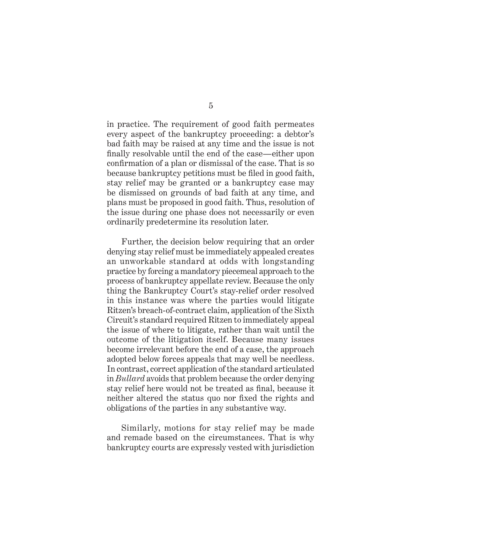in practice. The requirement of good faith permeates every aspect of the bankruptcy proceeding: a debtor's bad faith may be raised at any time and the issue is not finally resolvable until the end of the case—either upon confirmation of a plan or dismissal of the case. That is so because bankruptcy petitions must be filed in good faith, stay relief may be granted or a bankruptcy case may be dismissed on grounds of bad faith at any time, and plans must be proposed in good faith. Thus, resolution of the issue during one phase does not necessarily or even ordinarily predetermine its resolution later.

Further, the decision below requiring that an order denying stay relief must be immediately appealed creates an unworkable standard at odds with longstanding practice by forcing a mandatory piecemeal approach to the process of bankruptcy appellate review. Because the only thing the Bankruptcy Court's stay-relief order resolved in this instance was where the parties would litigate Ritzen's breach-of-contract claim, application of the Sixth Circuit's standard required Ritzen to immediately appeal the issue of where to litigate, rather than wait until the outcome of the litigation itself. Because many issues become irrelevant before the end of a case, the approach adopted below forces appeals that may well be needless. In contrast, correct application of the standard articulated in *Bullard* avoids that problem because the order denying stay relief here would not be treated as final, because it neither altered the status quo nor fixed the rights and obligations of the parties in any substantive way.

Similarly, motions for stay relief may be made and remade based on the circumstances. That is why bankruptcy courts are expressly vested with jurisdiction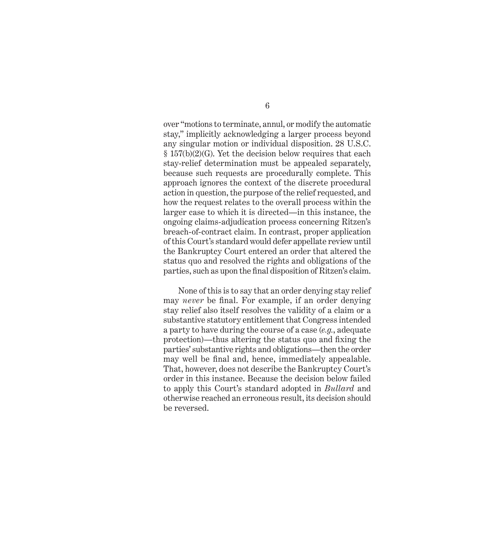over "motions to terminate, annul, or modify the automatic stay," implicitly acknowledging a larger process beyond any singular motion or individual disposition. 28 U.S.C. § 157(b)(2)(G). Yet the decision below requires that each stay-relief determination must be appealed separately, because such requests are procedurally complete. This approach ignores the context of the discrete procedural action in question, the purpose of the relief requested, and how the request relates to the overall process within the larger case to which it is directed—in this instance, the ongoing claims-adjudication process concerning Ritzen's breach-of-contract claim. In contrast, proper application of this Court's standard would defer appellate review until the Bankruptcy Court entered an order that altered the status quo and resolved the rights and obligations of the parties, such as upon the final disposition of Ritzen's claim.

None of this is to say that an order denying stay relief may *never* be final. For example, if an order denying stay relief also itself resolves the validity of a claim or a substantive statutory entitlement that Congress intended a party to have during the course of a case (*e.g.*, adequate protection)—thus altering the status quo and fixing the parties' substantive rights and obligations—then the order may well be final and, hence, immediately appealable. That, however, does not describe the Bankruptcy Court's order in this instance. Because the decision below failed to apply this Court's standard adopted in *Bullard* and otherwise reached an erroneous result, its decision should be reversed.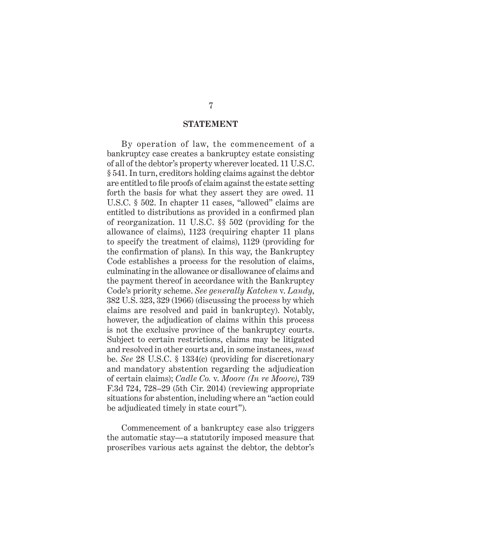#### **STATEMENT**

By operation of law, the commencement of a bankruptcy case creates a bankruptcy estate consisting of all of the debtor's property wherever located. 11 U.S.C. § 541. In turn, creditors holding claims against the debtor are entitled to file proofs of claim against the estate setting forth the basis for what they assert they are owed. 11 U.S.C. § 502. In chapter 11 cases, "allowed" claims are entitled to distributions as provided in a confirmed plan of reorganization. 11 U.S.C. §§ 502 (providing for the allowance of claims), 1123 (requiring chapter 11 plans to specify the treatment of claims), 1129 (providing for the confirmation of plans). In this way, the Bankruptcy Code establishes a process for the resolution of claims, culminating in the allowance or disallowance of claims and the payment thereof in accordance with the Bankruptcy Code's priority scheme. *See generally Katchen* v. *Landy*, 382 U.S. 323, 329 (1966) (discussing the process by which claims are resolved and paid in bankruptcy). Notably, however, the adjudication of claims within this process is not the exclusive province of the bankruptcy courts. Subject to certain restrictions, claims may be litigated and resolved in other courts and, in some instances, *must* be. *See* 28 U.S.C. § 1334(c) (providing for discretionary and mandatory abstention regarding the adjudication of certain claims); *Cadle Co.* v. *Moore (In re Moore)*, 739 F.3d 724, 728–29 (5th Cir. 2014) (reviewing appropriate situations for abstention, including where an "action could be adjudicated timely in state court").

Commencement of a bankruptcy case also triggers the automatic stay—a statutorily imposed measure that proscribes various acts against the debtor, the debtor's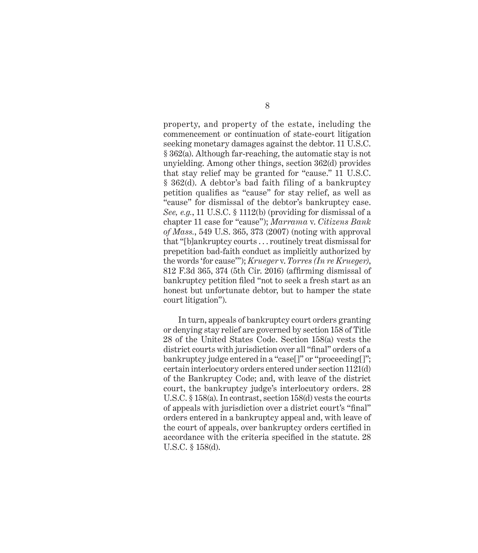property, and property of the estate, including the commencement or continuation of state-court litigation seeking monetary damages against the debtor. 11 U.S.C. § 362(a). Although far-reaching, the automatic stay is not unyielding. Among other things, section 362(d) provides that stay relief may be granted for "cause." 11 U.S.C. § 362(d). A debtor's bad faith filing of a bankruptcy petition qualifies as "cause" for stay relief, as well as "cause" for dismissal of the debtor's bankruptcy case. *See, e.g.*, 11 U.S.C. § 1112(b) (providing for dismissal of a chapter 11 case for "cause"); *Marrama* v. *Citizens Bank of Mass.*, 549 U.S. 365, 373 (2007) (noting with approval that "[b]ankruptcy courts . . . routinely treat dismissal for prepetition bad-faith conduct as implicitly authorized by the words 'for cause'"); *Krueger* v. *Torres (In re Krueger)*, 812 F.3d 365, 374 (5th Cir. 2016) (affirming dismissal of bankruptcy petition filed "not to seek a fresh start as an honest but unfortunate debtor, but to hamper the state court litigation").

In turn, appeals of bankruptcy court orders granting or denying stay relief are governed by section 158 of Title 28 of the United States Code. Section 158(a) vests the district courts with jurisdiction over all "final" orders of a bankruptcy judge entered in a "case[]" or "proceeding[]"; certain interlocutory orders entered under section 1121(d) of the Bankruptcy Code; and, with leave of the district court, the bankruptcy judge's interlocutory orders. 28 U.S.C. § 158(a). In contrast, section 158(d) vests the courts of appeals with jurisdiction over a district court's "final" orders entered in a bankruptcy appeal and, with leave of the court of appeals, over bankruptcy orders certified in accordance with the criteria specified in the statute. 28 U.S.C. § 158(d).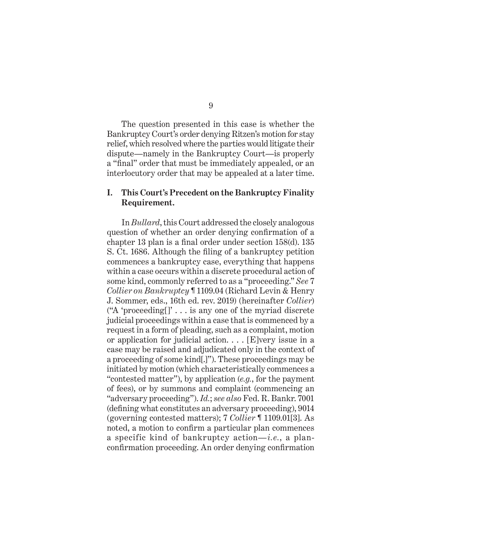The question presented in this case is whether the Bankruptcy Court's order denying Ritzen's motion for stay relief, which resolved where the parties would litigate their dispute—namely in the Bankruptcy Court—is properly a "final" order that must be immediately appealed, or an interlocutory order that may be appealed at a later time.

### **I. This Court's Precedent on the Bankruptcy Finality Requirement.**

In *Bullard*, this Court addressed the closely analogous question of whether an order denying confirmation of a chapter 13 plan is a final order under section 158(d). 135 S. Ct. 1686. Although the filing of a bankruptcy petition commences a bankruptcy case, everything that happens within a case occurs within a discrete procedural action of some kind, commonly referred to as a "proceeding." *See* 7 *Collier on Bankruptcy* ¶ 1109.04 (Richard Levin & Henry J. Sommer, eds., 16th ed. rev. 2019) (hereinafter *Collier*) ("A 'proceeding $[]$ " ... is any one of the myriad discrete judicial proceedings within a case that is commenced by a request in a form of pleading, such as a complaint, motion or application for judicial action.  $\ldots$  [E]very issue in a case may be raised and adjudicated only in the context of a proceeding of some kind[.]"). These proceedings may be initiated by motion (which characteristically commences a "contested matter"), by application (*e.g.*, for the payment of fees), or by summons and complaint (commencing an "adversary proceeding"). *Id.*; *see also* Fed. R. Bankr. 7001 (defining what constitutes an adversary proceeding), 9014 (governing contested matters); 7 *Collier* ¶ 1109.01[3]. As noted, a motion to confirm a particular plan commences a specific kind of bankruptcy action—*i.e.*, a planconfirmation proceeding. An order denying confirmation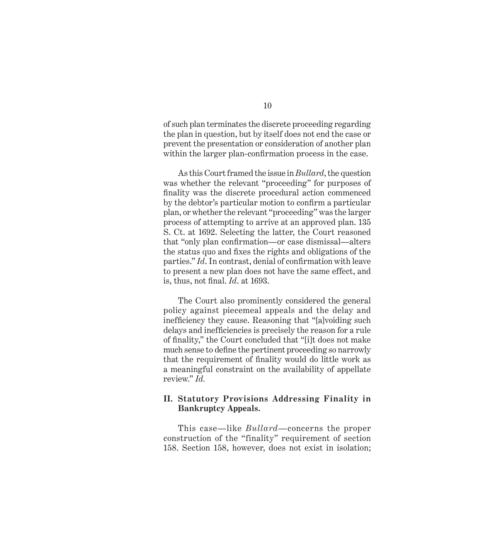of such plan terminates the discrete proceeding regarding the plan in question, but by itself does not end the case or prevent the presentation or consideration of another plan within the larger plan-confirmation process in the case.

As this Court framed the issue in *Bullard*, the question was whether the relevant "proceeding" for purposes of finality was the discrete procedural action commenced by the debtor's particular motion to confirm a particular plan, or whether the relevant "proceeding" was the larger process of attempting to arrive at an approved plan. 135 S. Ct. at 1692. Selecting the latter, the Court reasoned that "only plan confirmation—or case dismissal—alters the status quo and fixes the rights and obligations of the parties." *Id*. In contrast, denial of confirmation with leave to present a new plan does not have the same effect, and is, thus, not final. *Id*. at 1693.

The Court also prominently considered the general policy against piecemeal appeals and the delay and inefficiency they cause. Reasoning that "[a]voiding such delays and inefficiencies is precisely the reason for a rule of finality," the Court concluded that "[i]t does not make much sense to define the pertinent proceeding so narrowly that the requirement of finality would do little work as a meaningful constraint on the availability of appellate review." *Id.*

### **II. Statutory Provisions Addressing Finality in Bankruptcy Appeals.**

This case—like *Bullard*—concerns the proper construction of the "finality" requirement of section 158. Section 158, however, does not exist in isolation;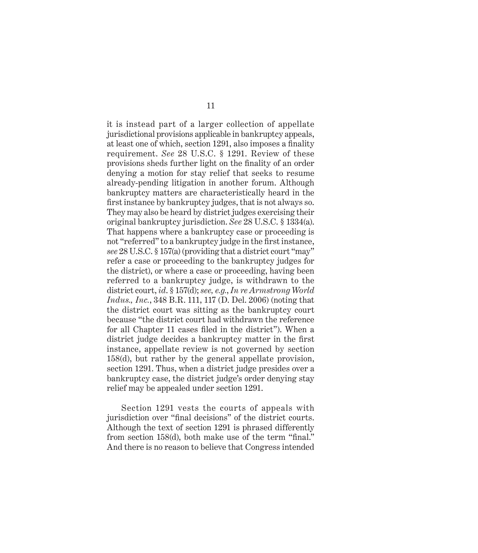it is instead part of a larger collection of appellate jurisdictional provisions applicable in bankruptcy appeals, at least one of which, section 1291, also imposes a finality requirement. *See* 28 U.S.C. § 1291. Review of these provisions sheds further light on the finality of an order denying a motion for stay relief that seeks to resume already-pending litigation in another forum. Although bankruptcy matters are characteristically heard in the first instance by bankruptcy judges, that is not always so. They may also be heard by district judges exercising their original bankruptcy jurisdiction. *See* 28 U.S.C. § 1334(a). That happens where a bankruptcy case or proceeding is not "referred" to a bankruptcy judge in the first instance, *see* 28 U.S.C. § 157(a) (providing that a district court "may" refer a case or proceeding to the bankruptcy judges for the district), or where a case or proceeding, having been referred to a bankruptcy judge, is withdrawn to the district court, *id*. § 157(d); *see, e.g.*, *In re Armstrong World Indus., Inc.*, 348 B.R. 111, 117 (D. Del. 2006) (noting that the district court was sitting as the bankruptcy court because "the district court had withdrawn the reference for all Chapter 11 cases filed in the district"). When a district judge decides a bankruptcy matter in the first instance, appellate review is not governed by section 158(d), but rather by the general appellate provision, section 1291. Thus, when a district judge presides over a bankruptcy case, the district judge's order denying stay relief may be appealed under section 1291.

Section 1291 vests the courts of appeals with jurisdiction over "final decisions" of the district courts. Although the text of section 1291 is phrased differently from section 158(d), both make use of the term "final." And there is no reason to believe that Congress intended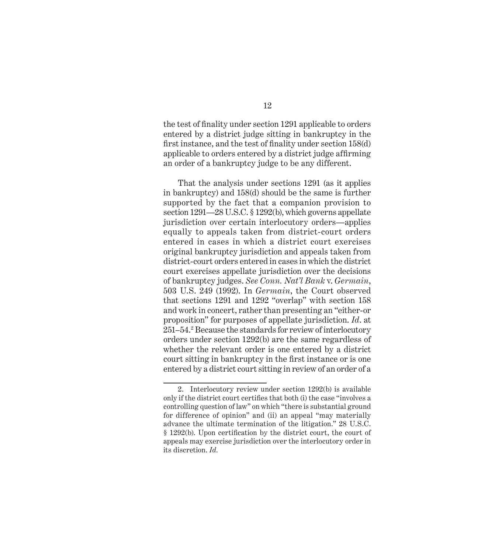the test of finality under section 1291 applicable to orders entered by a district judge sitting in bankruptcy in the first instance, and the test of finality under section 158(d) applicable to orders entered by a district judge affirming an order of a bankruptcy judge to be any different.

That the analysis under sections 1291 (as it applies in bankruptcy) and 158(d) should be the same is further supported by the fact that a companion provision to section 1291—28 U.S.C. § 1292(b), which governs appellate jurisdiction over certain interlocutory orders—applies equally to appeals taken from district-court orders entered in cases in which a district court exercises original bankruptcy jurisdiction and appeals taken from district-court orders entered in cases in which the district court exercises appellate jurisdiction over the decisions of bankruptcy judges. *See Conn. Nat'l Bank* v. *Germain*, 503 U.S. 249 (1992). In *Germain*, the Court observed that sections 1291 and 1292 "overlap" with section 158 and work in concert, rather than presenting an "either-or proposition" for purposes of appellate jurisdiction. *Id*. at 251–54.2 Because the standards for review of interlocutory orders under section 1292(b) are the same regardless of whether the relevant order is one entered by a district court sitting in bankruptcy in the first instance or is one entered by a district court sitting in review of an order of a

12

<sup>2.</sup> Interlocutory review under section 1292(b) is available only if the district court certifies that both (i) the case "involves a controlling question of law" on which "there is substantial ground for difference of opinion" and (ii) an appeal "may materially advance the ultimate termination of the litigation." 28 U.S.C. § 1292(b). Upon certification by the district court, the court of appeals may exercise jurisdiction over the interlocutory order in its discretion. *Id.*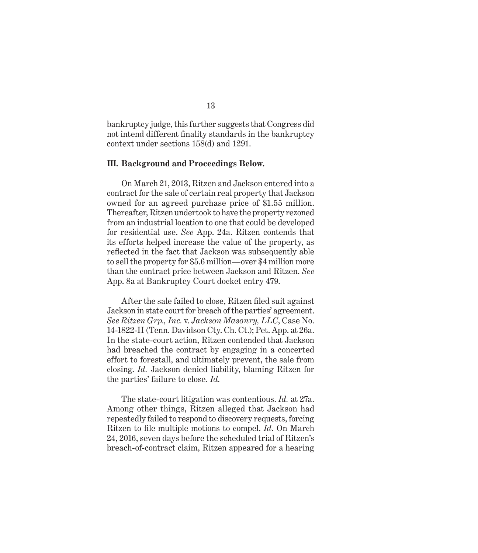bankruptcy judge, this further suggests that Congress did not intend different finality standards in the bankruptcy context under sections 158(d) and 1291.

#### **III. Background and Proceedings Below.**

On March 21, 2013, Ritzen and Jackson entered into a contract for the sale of certain real property that Jackson owned for an agreed purchase price of \$1.55 million. Thereafter, Ritzen undertook to have the property rezoned from an industrial location to one that could be developed for residential use. *See* App. 24a. Ritzen contends that its efforts helped increase the value of the property, as reflected in the fact that Jackson was subsequently able to sell the property for \$5.6 million—over \$4 million more than the contract price between Jackson and Ritzen. *See*  App. 8a at Bankruptcy Court docket entry 479.

After the sale failed to close, Ritzen filed suit against Jackson in state court for breach of the parties' agreement. *See Ritzen Grp., Inc.* v. *Jackson Masonry, LLC*, Case No. 14-1822-II (Tenn. Davidson Cty. Ch. Ct.); Pet. App. at 26a. In the state-court action, Ritzen contended that Jackson had breached the contract by engaging in a concerted effort to forestall, and ultimately prevent, the sale from closing. *Id.* Jackson denied liability, blaming Ritzen for the parties' failure to close. *Id.*

The state-court litigation was contentious. *Id.* at 27a. Among other things, Ritzen alleged that Jackson had repeatedly failed to respond to discovery requests, forcing Ritzen to file multiple motions to compel. *Id*. On March 24, 2016, seven days before the scheduled trial of Ritzen's breach-of-contract claim, Ritzen appeared for a hearing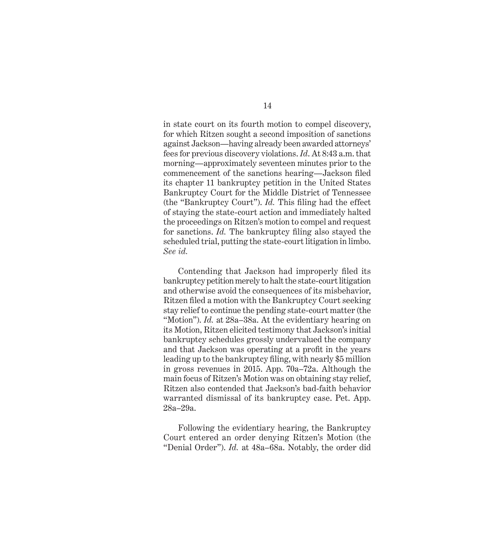in state court on its fourth motion to compel discovery, for which Ritzen sought a second imposition of sanctions against Jackson—having already been awarded attorneys' fees for previous discovery violations. *Id*. At 8:43 a.m. that morning—approximately seventeen minutes prior to the commencement of the sanctions hearing—Jackson filed its chapter 11 bankruptcy petition in the United States Bankruptcy Court for the Middle District of Tennessee (the "Bankruptcy Court"). *Id.* This filing had the effect of staying the state-court action and immediately halted the proceedings on Ritzen's motion to compel and request for sanctions. *Id.* The bankruptcy filing also stayed the scheduled trial, putting the state-court litigation in limbo. *See id.*

Contending that Jackson had improperly filed its bankruptcy petition merely to halt the state-court litigation and otherwise avoid the consequences of its misbehavior, Ritzen filed a motion with the Bankruptcy Court seeking stay relief to continue the pending state-court matter (the "Motion"). *Id.* at 28a–38a. At the evidentiary hearing on its Motion, Ritzen elicited testimony that Jackson's initial bankruptcy schedules grossly undervalued the company and that Jackson was operating at a profit in the years leading up to the bankruptcy filing, with nearly \$5 million in gross revenues in 2015. App. 70a–72a. Although the main focus of Ritzen's Motion was on obtaining stay relief, Ritzen also contended that Jackson's bad-faith behavior warranted dismissal of its bankruptcy case. Pet. App. 28a–29a.

Following the evidentiary hearing, the Bankruptcy Court entered an order denying Ritzen's Motion (the "Denial Order"). *Id.* at 48a–68a. Notably, the order did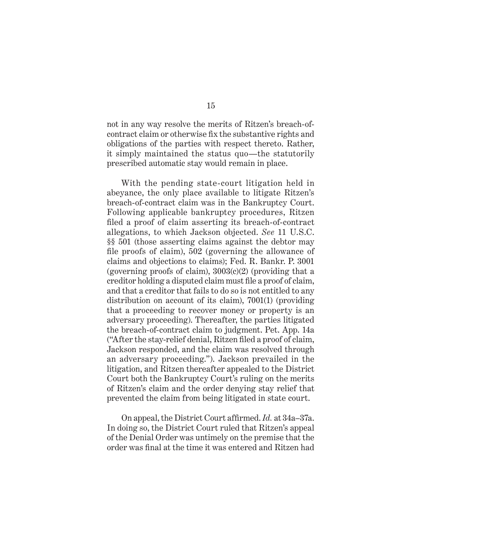not in any way resolve the merits of Ritzen's breach-ofcontract claim or otherwise fix the substantive rights and obligations of the parties with respect thereto. Rather, it simply maintained the status quo—the statutorily prescribed automatic stay would remain in place.

With the pending state-court litigation held in abeyance, the only place available to litigate Ritzen's breach-of-contract claim was in the Bankruptcy Court. Following applicable bankruptcy procedures, Ritzen filed a proof of claim asserting its breach-of-contract allegations, to which Jackson objected. *See* 11 U.S.C. §§ 501 (those asserting claims against the debtor may file proofs of claim), 502 (governing the allowance of claims and objections to claims); Fed. R. Bankr. P. 3001 (governing proofs of claim),  $3003(c)(2)$  (providing that a creditor holding a disputed claim must file a proof of claim, and that a creditor that fails to do so is not entitled to any distribution on account of its claim), 7001(1) (providing that a proceeding to recover money or property is an adversary proceeding). Thereafter, the parties litigated the breach-of-contract claim to judgment. Pet. App. 14a ("After the stay-relief denial, Ritzen filed a proof of claim, Jackson responded, and the claim was resolved through an adversary proceeding."). Jackson prevailed in the litigation, and Ritzen thereafter appealed to the District Court both the Bankruptcy Court's ruling on the merits of Ritzen's claim and the order denying stay relief that prevented the claim from being litigated in state court.

On appeal, the District Court affirmed. *Id.* at 34a–37a. In doing so, the District Court ruled that Ritzen's appeal of the Denial Order was untimely on the premise that the order was final at the time it was entered and Ritzen had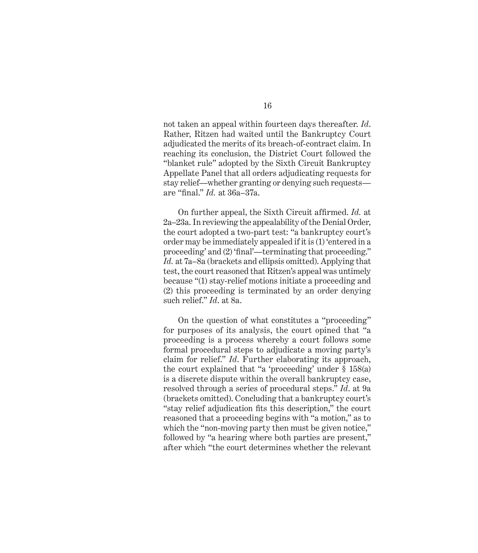not taken an appeal within fourteen days thereafter. *Id*. Rather, Ritzen had waited until the Bankruptcy Court adjudicated the merits of its breach-of-contract claim. In reaching its conclusion, the District Court followed the "blanket rule" adopted by the Sixth Circuit Bankruptcy Appellate Panel that all orders adjudicating requests for stay relief—whether granting or denying such requests are "final." *Id.* at 36a–37a.

On further appeal, the Sixth Circuit affirmed. *Id.* at 2a–23a. In reviewing the appealability of the Denial Order, the court adopted a two-part test: "a bankruptcy court's order may be immediately appealed if it is (1) 'entered in a proceeding' and (2) 'final'—terminating that proceeding." *Id.* at 7a–8a (brackets and ellipsis omitted). Applying that test, the court reasoned that Ritzen's appeal was untimely because "(1) stay-relief motions initiate a proceeding and (2) this proceeding is terminated by an order denying such relief." *Id*. at 8a.

On the question of what constitutes a "proceeding" for purposes of its analysis, the court opined that "a proceeding is a process whereby a court follows some formal procedural steps to adjudicate a moving party's claim for relief." *Id*. Further elaborating its approach, the court explained that "a 'proceeding' under § 158(a) is a discrete dispute within the overall bankruptcy case, resolved through a series of procedural steps." *Id*. at 9a (brackets omitted). Concluding that a bankruptcy court's "stay relief adjudication fits this description," the court reasoned that a proceeding begins with "a motion," as to which the "non-moving party then must be given notice," followed by "a hearing where both parties are present," after which "the court determines whether the relevant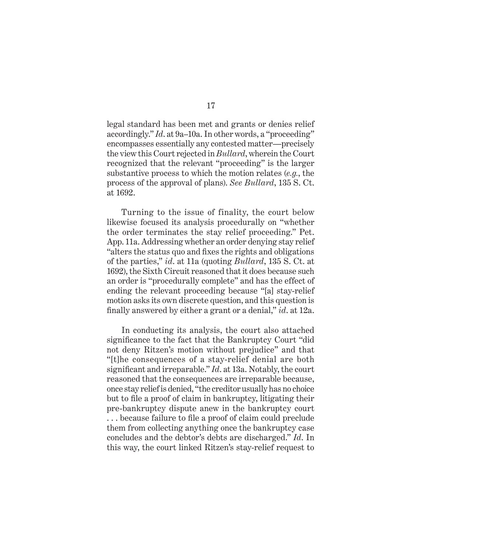legal standard has been met and grants or denies relief accordingly." *Id*. at 9a–10a. In other words, a "proceeding" encompasses essentially any contested matter—precisely the view this Court rejected in *Bullard*, wherein the Court recognized that the relevant "proceeding" is the larger substantive process to which the motion relates (*e.g.*, the process of the approval of plans). *See Bullard*, 135 S. Ct. at 1692.

Turning to the issue of finality, the court below likewise focused its analysis procedurally on "whether the order terminates the stay relief proceeding." Pet. App. 11a. Addressing whether an order denying stay relief "alters the status quo and fixes the rights and obligations of the parties," *id*. at 11a (quoting *Bullard*, 135 S. Ct. at 1692), the Sixth Circuit reasoned that it does because such an order is "procedurally complete" and has the effect of ending the relevant proceeding because "[a] stay-relief motion asks its own discrete question, and this question is finally answered by either a grant or a denial," *id*. at 12a.

In conducting its analysis, the court also attached significance to the fact that the Bankruptcy Court "did not deny Ritzen's motion without prejudice" and that "[t]he consequences of a stay-relief denial are both significant and irreparable." *Id*. at 13a. Notably, the court reasoned that the consequences are irreparable because, once stay relief is denied, "the creditor usually has no choice but to file a proof of claim in bankruptcy, litigating their pre-bankruptcy dispute anew in the bankruptcy court . . . because failure to file a proof of claim could preclude them from collecting anything once the bankruptcy case concludes and the debtor's debts are discharged." *Id*. In this way, the court linked Ritzen's stay-relief request to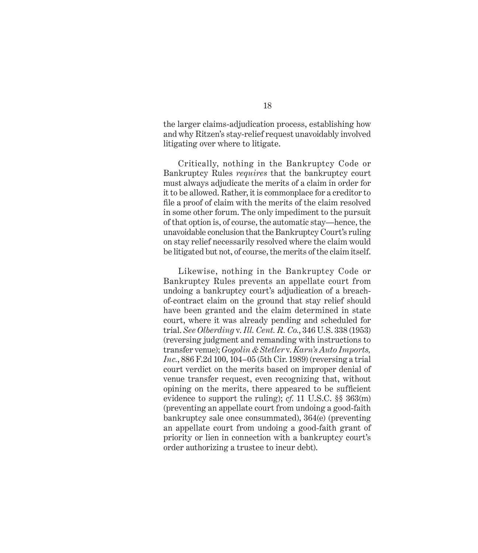the larger claims-adjudication process, establishing how and why Ritzen's stay-relief request unavoidably involved litigating over where to litigate.

Critically, nothing in the Bankruptcy Code or Bankruptcy Rules *requires* that the bankruptcy court must always adjudicate the merits of a claim in order for it to be allowed. Rather, it is commonplace for a creditor to file a proof of claim with the merits of the claim resolved in some other forum. The only impediment to the pursuit of that option is, of course, the automatic stay—hence, the unavoidable conclusion that the Bankruptcy Court's ruling on stay relief necessarily resolved where the claim would be litigated but not, of course, the merits of the claim itself.

Likewise, nothing in the Bankruptcy Code or Bankruptcy Rules prevents an appellate court from undoing a bankruptcy court's adjudication of a breachof-contract claim on the ground that stay relief should have been granted and the claim determined in state court, where it was already pending and scheduled for trial. *See Olberding* v. *Ill. Cent. R. Co.*, 346 U.S. 338 (1953) (reversing judgment and remanding with instructions to transfer venue); *Gogolin & Stetler* v. *Karn's Auto Imports, Inc.*, 886 F.2d 100, 104–05 (5th Cir. 1989) (reversing a trial court verdict on the merits based on improper denial of venue transfer request, even recognizing that, without opining on the merits, there appeared to be sufficient evidence to support the ruling); *cf*. 11 U.S.C. §§ 363(m) (preventing an appellate court from undoing a good-faith bankruptcy sale once consummated), 364(e) (preventing an appellate court from undoing a good-faith grant of priority or lien in connection with a bankruptcy court's order authorizing a trustee to incur debt).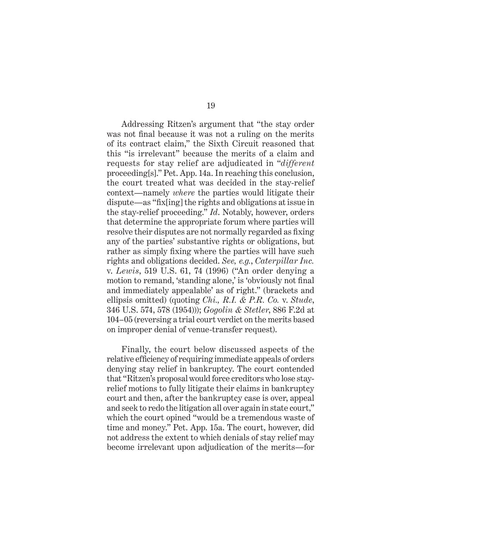Addressing Ritzen's argument that "the stay order was not final because it was not a ruling on the merits of its contract claim," the Sixth Circuit reasoned that this "is irrelevant" because the merits of a claim and requests for stay relief are adjudicated in "*different* proceeding[s]." Pet. App. 14a. In reaching this conclusion, the court treated what was decided in the stay-relief context—namely *where* the parties would litigate their dispute—as "fix[ing] the rights and obligations at issue in the stay-relief proceeding." *Id*. Notably, however, orders that determine the appropriate forum where parties will resolve their disputes are not normally regarded as fixing any of the parties' substantive rights or obligations, but rather as simply fixing where the parties will have such rights and obligations decided. *See, e.g.*, *Caterpillar Inc.*  v. *Lewis*, 519 U.S. 61, 74 (1996) ("An order denying a motion to remand, 'standing alone,' is 'obviously not final and immediately appealable' as of right." (brackets and ellipsis omitted) (quoting *Chi., R.I. & P.R. Co.* v. *Stude*, 346 U.S. 574, 578 (1954))); *Gogolin & Stetler*, 886 F.2d at 104–05 (reversing a trial court verdict on the merits based on improper denial of venue-transfer request).

Finally, the court below discussed aspects of the relative efficiency of requiring immediate appeals of orders denying stay relief in bankruptcy. The court contended that "Ritzen's proposal would force creditors who lose stayrelief motions to fully litigate their claims in bankruptcy court and then, after the bankruptcy case is over, appeal and seek to redo the litigation all over again in state court," which the court opined "would be a tremendous waste of time and money." Pet. App. 15a. The court, however, did not address the extent to which denials of stay relief may become irrelevant upon adjudication of the merits—for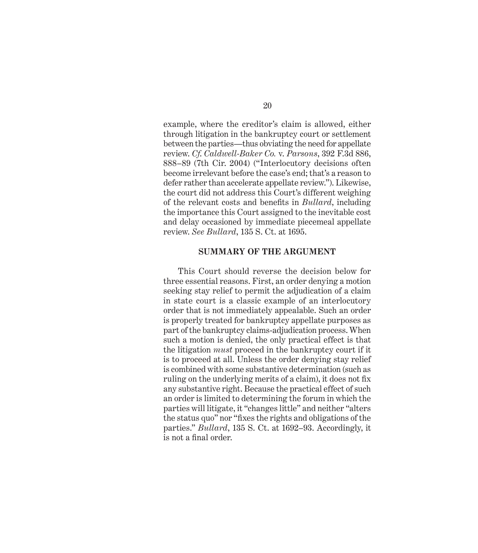example, where the creditor's claim is allowed, either through litigation in the bankruptcy court or settlement between the parties—thus obviating the need for appellate review. *Cf*. *Caldwell-Baker Co.* v. *Parsons*, 392 F.3d 886, 888–89 (7th Cir. 2004) ("Interlocutory decisions often become irrelevant before the case's end; that's a reason to defer rather than accelerate appellate review."). Likewise, the court did not address this Court's different weighing of the relevant costs and benefits in *Bullard*, including the importance this Court assigned to the inevitable cost and delay occasioned by immediate piecemeal appellate review. *See Bullard*, 135 S. Ct. at 1695.

#### **SUMMARY OF THE ARGUMENT**

This Court should reverse the decision below for three essential reasons. First, an order denying a motion seeking stay relief to permit the adjudication of a claim in state court is a classic example of an interlocutory order that is not immediately appealable. Such an order is properly treated for bankruptcy appellate purposes as part of the bankruptcy claims-adjudication process. When such a motion is denied, the only practical effect is that the litigation *must* proceed in the bankruptcy court if it is to proceed at all. Unless the order denying stay relief is combined with some substantive determination (such as ruling on the underlying merits of a claim), it does not fix any substantive right. Because the practical effect of such an order is limited to determining the forum in which the parties will litigate, it "changes little" and neither "alters the status quo" nor "fixes the rights and obligations of the parties." *Bullard*, 135 S. Ct. at 1692–93. Accordingly, it is not a final order.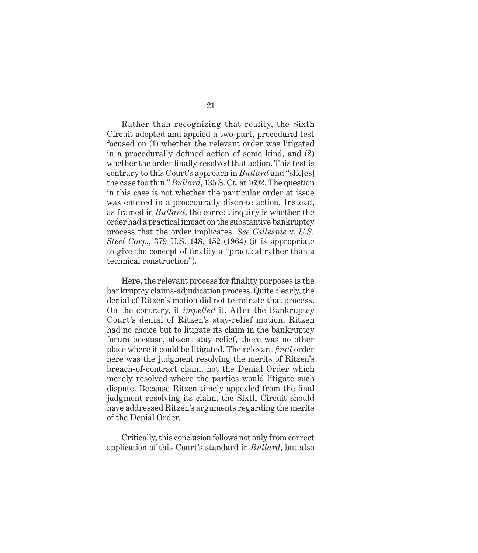Rather than recognizing that reality, the Sixth Circuit adopted and applied a two-part, procedural test focused on (1) whether the relevant order was litigated in a procedurally defined action of some kind, and (2) whether the order finally resolved that action. This test is contrary to this Court's approach in *Bullard* and "slic[es] the case too thin." *Bullard*, 135 S. Ct. at 1692. The question in this case is not whether the particular order at issue was entered in a procedurally discrete action. Instead, as framed in *Bullard*, the correct inquiry is whether the order had a practical impact on the substantive bankruptcy process that the order implicates. *See Gillespie* v. *U.S. Steel Corp.*, 379 U.S. 148, 152 (1964) (it is appropriate to give the concept of finality a "practical rather than a technical construction").

Here, the relevant process for finality purposes is the bankruptcy claims-adjudication process. Quite clearly, the denial of Ritzen's motion did not terminate that process. On the contrary, it *impelled* it. After the Bankruptcy Court's denial of Ritzen's stay-relief motion, Ritzen had no choice but to litigate its claim in the bankruptcy forum because, absent stay relief, there was no other place where it could be litigated. The relevant *final* order here was the judgment resolving the merits of Ritzen's breach-of-contract claim, not the Denial Order which merely resolved where the parties would litigate such dispute. Because Ritzen timely appealed from the final judgment resolving its claim, the Sixth Circuit should have addressed Ritzen's arguments regarding the merits of the Denial Order.

Critically, this conclusion follows not only from correct application of this Court's standard in *Bullard*, but also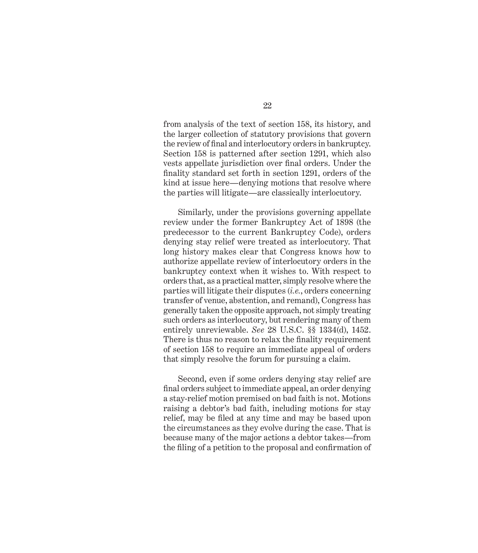from analysis of the text of section 158, its history, and the larger collection of statutory provisions that govern the review of final and interlocutory orders in bankruptcy. Section 158 is patterned after section 1291, which also vests appellate jurisdiction over final orders. Under the finality standard set forth in section 1291, orders of the kind at issue here—denying motions that resolve where the parties will litigate—are classically interlocutory.

Similarly, under the provisions governing appellate review under the former Bankruptcy Act of 1898 (the predecessor to the current Bankruptcy Code), orders denying stay relief were treated as interlocutory. That long history makes clear that Congress knows how to authorize appellate review of interlocutory orders in the bankruptcy context when it wishes to. With respect to orders that, as a practical matter, simply resolve where the parties will litigate their disputes (*i.e.*, orders concerning transfer of venue, abstention, and remand), Congress has generally taken the opposite approach, not simply treating such orders as interlocutory, but rendering many of them entirely unreviewable. *See* 28 U.S.C. §§ 1334(d), 1452. There is thus no reason to relax the finality requirement of section 158 to require an immediate appeal of orders that simply resolve the forum for pursuing a claim.

Second, even if some orders denying stay relief are final orders subject to immediate appeal, an order denying a stay-relief motion premised on bad faith is not. Motions raising a debtor's bad faith, including motions for stay relief, may be filed at any time and may be based upon the circumstances as they evolve during the case. That is because many of the major actions a debtor takes—from the filing of a petition to the proposal and confirmation of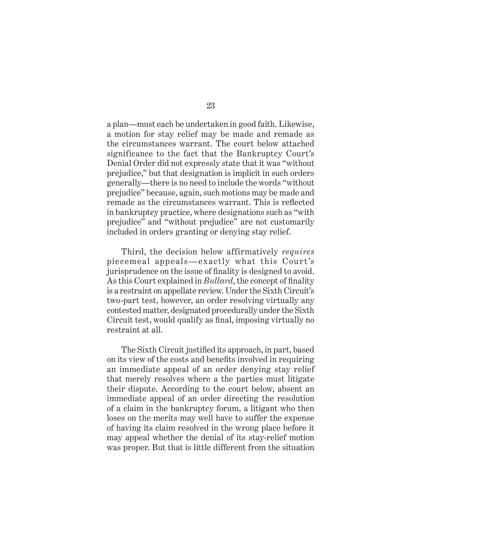a plan—must each be undertaken in good faith. Likewise, a motion for stay relief may be made and remade as the circumstances warrant. The court below attached significance to the fact that the Bankruptcy Court's Denial Order did not expressly state that it was "without prejudice," but that designation is implicit in such orders generally—there is no need to include the words "without prejudice" because, again, such motions may be made and remade as the circumstances warrant. This is reflected in bankruptcy practice, where designations such as "with prejudice" and "without prejudice" are not customarily included in orders granting or denying stay relief.

Third, the decision below affirmatively *requires* piecemeal appeals—exactly what this Court's jurisprudence on the issue of finality is designed to avoid. As this Court explained in *Bullard*, the concept of finality is a restraint on appellate review. Under the Sixth Circuit's two-part test, however, an order resolving virtually any contested matter, designated procedurally under the Sixth Circuit test, would qualify as final, imposing virtually no restraint at all.

The Sixth Circuit justified its approach, in part, based on its view of the costs and benefits involved in requiring an immediate appeal of an order denying stay relief that merely resolves where a the parties must litigate their dispute. According to the court below, absent an immediate appeal of an order directing the resolution of a claim in the bankruptcy forum, a litigant who then loses on the merits may well have to suffer the expense of having its claim resolved in the wrong place before it may appeal whether the denial of its stay-relief motion was proper. But that is little different from the situation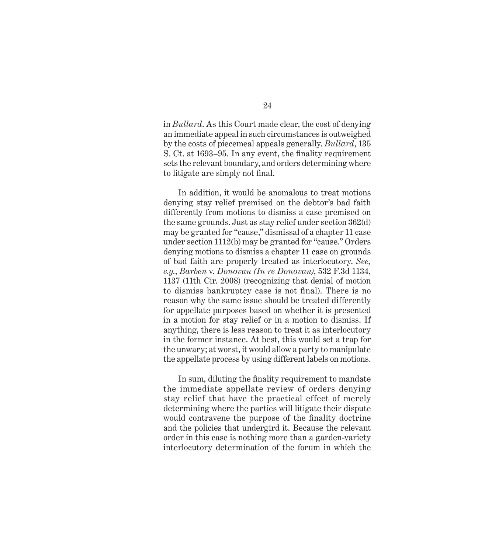in *Bullard*. As this Court made clear, the cost of denying an immediate appeal in such circumstances is outweighed by the costs of piecemeal appeals generally. *Bullard*, 135 S. Ct. at 1693–95. In any event, the finality requirement sets the relevant boundary, and orders determining where to litigate are simply not final.

In addition, it would be anomalous to treat motions denying stay relief premised on the debtor's bad faith differently from motions to dismiss a case premised on the same grounds. Just as stay relief under section 362(d) may be granted for "cause," dismissal of a chapter 11 case under section 1112(b) may be granted for "cause." Orders denying motions to dismiss a chapter 11 case on grounds of bad faith are properly treated as interlocutory. *See, e.g.*, *Barben* v. *Donovan (In re Donovan)*, 532 F.3d 1134, 1137 (11th Cir. 2008) (recognizing that denial of motion to dismiss bankruptcy case is not final). There is no reason why the same issue should be treated differently for appellate purposes based on whether it is presented in a motion for stay relief or in a motion to dismiss. If anything, there is less reason to treat it as interlocutory in the former instance. At best, this would set a trap for the unwary; at worst, it would allow a party to manipulate the appellate process by using different labels on motions.

In sum, diluting the finality requirement to mandate the immediate appellate review of orders denying stay relief that have the practical effect of merely determining where the parties will litigate their dispute would contravene the purpose of the finality doctrine and the policies that undergird it. Because the relevant order in this case is nothing more than a garden-variety interlocutory determination of the forum in which the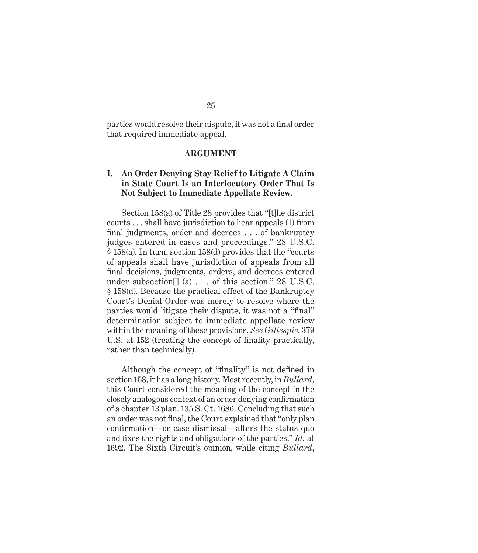parties would resolve their dispute, it was not a final order that required immediate appeal.

## **ARGUMENT**

# **I. An Order Denying Stay Relief to Litigate A Claim in State Court Is an Interlocutory Order That Is Not Subject to Immediate Appellate Review.**

Section 158(a) of Title 28 provides that "[t]he district courts . . . shall have jurisdiction to hear appeals (1) from final judgments, order and decrees . . . of bankruptcy judges entered in cases and proceedings." 28 U.S.C. § 158(a). In turn, section 158(d) provides that the "courts of appeals shall have jurisdiction of appeals from all final decisions, judgments, orders, and decrees entered under subsection  $\left[ \begin{array}{c} 2 \end{array} \right]$  (a) ... of this section." 28 U.S.C. § 158(d). Because the practical effect of the Bankruptcy Court's Denial Order was merely to resolve where the parties would litigate their dispute, it was not a "final" determination subject to immediate appellate review within the meaning of these provisions. *See Gillespie*, 379 U.S. at 152 (treating the concept of finality practically, rather than technically).

Although the concept of "finality" is not defined in section 158, it has a long history. Most recently, in *Bullard*, this Court considered the meaning of the concept in the closely analogous context of an order denying confirmation of a chapter 13 plan. 135 S. Ct. 1686. Concluding that such an order was not final, the Court explained that "only plan confirmation—or case dismissal—alters the status quo and fixes the rights and obligations of the parties." *Id.* at 1692. The Sixth Circuit's opinion, while citing *Bullard*,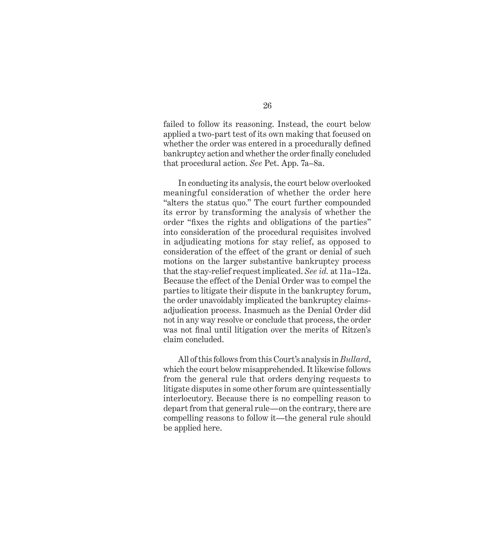failed to follow its reasoning. Instead, the court below applied a two-part test of its own making that focused on whether the order was entered in a procedurally defined bankruptcy action and whether the order finally concluded that procedural action. *See* Pet. App. 7a–8a.

In conducting its analysis, the court below overlooked meaningful consideration of whether the order here "alters the status quo." The court further compounded its error by transforming the analysis of whether the order "fixes the rights and obligations of the parties" into consideration of the procedural requisites involved in adjudicating motions for stay relief, as opposed to consideration of the effect of the grant or denial of such motions on the larger substantive bankruptcy process that the stay-relief request implicated. *See id.* at 11a–12a. Because the effect of the Denial Order was to compel the parties to litigate their dispute in the bankruptcy forum, the order unavoidably implicated the bankruptcy claimsadjudication process. Inasmuch as the Denial Order did not in any way resolve or conclude that process, the order was not final until litigation over the merits of Ritzen's claim concluded.

All of this follows from this Court's analysis in *Bullard*, which the court below misapprehended. It likewise follows from the general rule that orders denying requests to litigate disputes in some other forum are quintessentially interlocutory. Because there is no compelling reason to depart from that general rule—on the contrary, there are compelling reasons to follow it—the general rule should be applied here.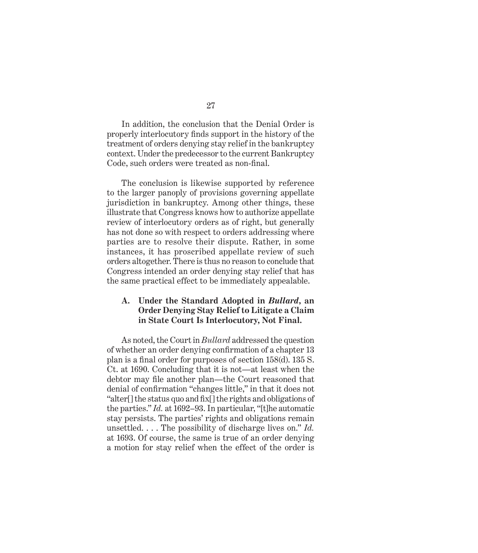In addition, the conclusion that the Denial Order is properly interlocutory finds support in the history of the treatment of orders denying stay relief in the bankruptcy context. Under the predecessor to the current Bankruptcy Code, such orders were treated as non-final.

The conclusion is likewise supported by reference to the larger panoply of provisions governing appellate jurisdiction in bankruptcy. Among other things, these illustrate that Congress knows how to authorize appellate review of interlocutory orders as of right, but generally has not done so with respect to orders addressing where parties are to resolve their dispute. Rather, in some instances, it has proscribed appellate review of such orders altogether. There is thus no reason to conclude that Congress intended an order denying stay relief that has the same practical effect to be immediately appealable.

# **A. Under the Standard Adopted in** *Bullard***, an Order Denying Stay Relief to Litigate a Claim in State Court Is Interlocutory, Not Final.**

As noted, the Court in *Bullard* addressed the question of whether an order denying confirmation of a chapter 13 plan is a final order for purposes of section 158(d). 135 S. Ct. at 1690. Concluding that it is not—at least when the debtor may file another plan—the Court reasoned that denial of confirmation "changes little," in that it does not "alter[] the status quo and fix[] the rights and obligations of the parties." *Id.* at 1692–93. In particular, "[t]he automatic stay persists. The parties' rights and obligations remain unsettled. . . . The possibility of discharge lives on." *Id.* at 1693. Of course, the same is true of an order denying a motion for stay relief when the effect of the order is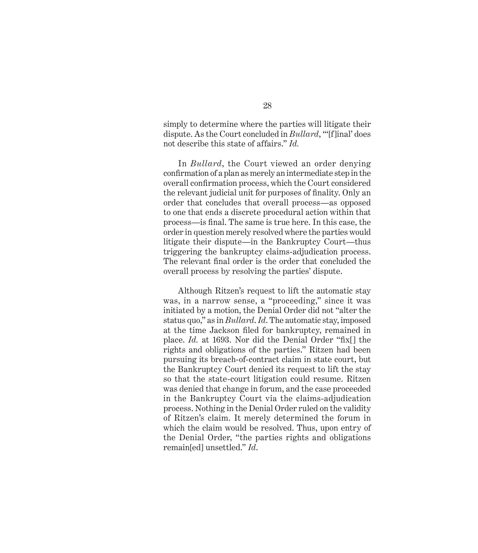simply to determine where the parties will litigate their dispute. As the Court concluded in *Bullard*, "'[f]inal' does not describe this state of affairs." *Id.*

In *Bullard*, the Court viewed an order denying confirmation of a plan as merely an intermediate step in the overall confirmation process, which the Court considered the relevant judicial unit for purposes of finality. Only an order that concludes that overall process—as opposed to one that ends a discrete procedural action within that process—is final. The same is true here. In this case, the order in question merely resolved where the parties would litigate their dispute—in the Bankruptcy Court—thus triggering the bankruptcy claims-adjudication process. The relevant final order is the order that concluded the overall process by resolving the parties' dispute.

Although Ritzen's request to lift the automatic stay was, in a narrow sense, a "proceeding," since it was initiated by a motion, the Denial Order did not "alter the status quo," as in *Bullard*. *Id*. The automatic stay, imposed at the time Jackson filed for bankruptcy, remained in place. *Id.* at 1693. Nor did the Denial Order "fix[] the rights and obligations of the parties." Ritzen had been pursuing its breach-of-contract claim in state court, but the Bankruptcy Court denied its request to lift the stay so that the state-court litigation could resume. Ritzen was denied that change in forum, and the case proceeded in the Bankruptcy Court via the claims-adjudication process. Nothing in the Denial Order ruled on the validity of Ritzen's claim. It merely determined the forum in which the claim would be resolved. Thus, upon entry of the Denial Order, "the parties rights and obligations remain[ed] unsettled." *Id*.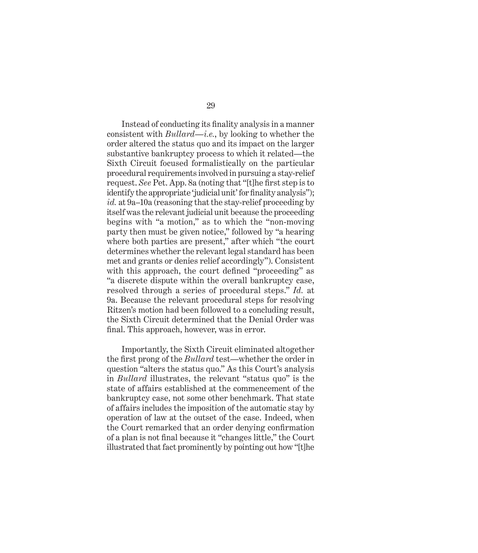Instead of conducting its finality analysis in a manner consistent with *Bullard*—*i.e.*, by looking to whether the order altered the status quo and its impact on the larger substantive bankruptcy process to which it related—the Sixth Circuit focused formalistically on the particular procedural requirements involved in pursuing a stay-relief request. *See* Pet. App. 8a (noting that "[t]he first step is to identify the appropriate 'judicial unit' for finality analysis"); *id.* at 9a–10a (reasoning that the stay-relief proceeding by itself was the relevant judicial unit because the proceeding begins with "a motion," as to which the "non-moving party then must be given notice," followed by "a hearing where both parties are present," after which "the court determines whether the relevant legal standard has been met and grants or denies relief accordingly"). Consistent with this approach, the court defined "proceeding" as "a discrete dispute within the overall bankruptcy case, resolved through a series of procedural steps." *Id.* at 9a. Because the relevant procedural steps for resolving Ritzen's motion had been followed to a concluding result, the Sixth Circuit determined that the Denial Order was final. This approach, however, was in error.

Importantly, the Sixth Circuit eliminated altogether the first prong of the *Bullard* test—whether the order in question "alters the status quo." As this Court's analysis in *Bullard* illustrates, the relevant "status quo" is the state of affairs established at the commencement of the bankruptcy case, not some other benchmark. That state of affairs includes the imposition of the automatic stay by operation of law at the outset of the case. Indeed, when the Court remarked that an order denying confirmation of a plan is not final because it "changes little," the Court illustrated that fact prominently by pointing out how "[t]he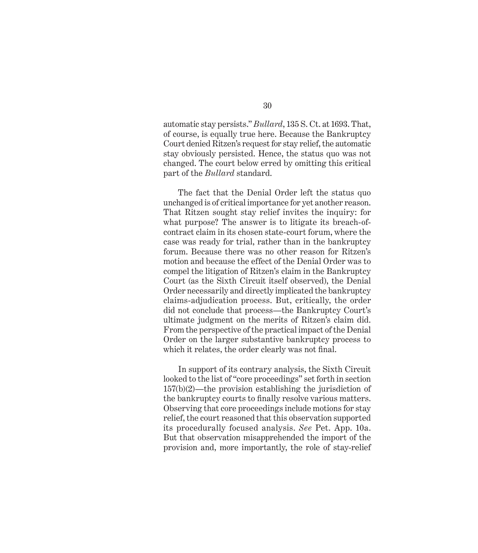automatic stay persists." *Bullard*, 135 S. Ct. at 1693. That, of course, is equally true here. Because the Bankruptcy Court denied Ritzen's request for stay relief, the automatic stay obviously persisted. Hence, the status quo was not changed. The court below erred by omitting this critical part of the *Bullard* standard.

The fact that the Denial Order left the status quo unchanged is of critical importance for yet another reason. That Ritzen sought stay relief invites the inquiry: for what purpose? The answer is to litigate its breach-ofcontract claim in its chosen state-court forum, where the case was ready for trial, rather than in the bankruptcy forum. Because there was no other reason for Ritzen's motion and because the effect of the Denial Order was to compel the litigation of Ritzen's claim in the Bankruptcy Court (as the Sixth Circuit itself observed), the Denial Order necessarily and directly implicated the bankruptcy claims-adjudication process. But, critically, the order did not conclude that process—the Bankruptcy Court's ultimate judgment on the merits of Ritzen's claim did. From the perspective of the practical impact of the Denial Order on the larger substantive bankruptcy process to which it relates, the order clearly was not final.

In support of its contrary analysis, the Sixth Circuit looked to the list of "core proceedings" set forth in section 157(b)(2)—the provision establishing the jurisdiction of the bankruptcy courts to finally resolve various matters. Observing that core proceedings include motions for stay relief, the court reasoned that this observation supported its procedurally focused analysis. *See* Pet. App. 10a. But that observation misapprehended the import of the provision and, more importantly, the role of stay-relief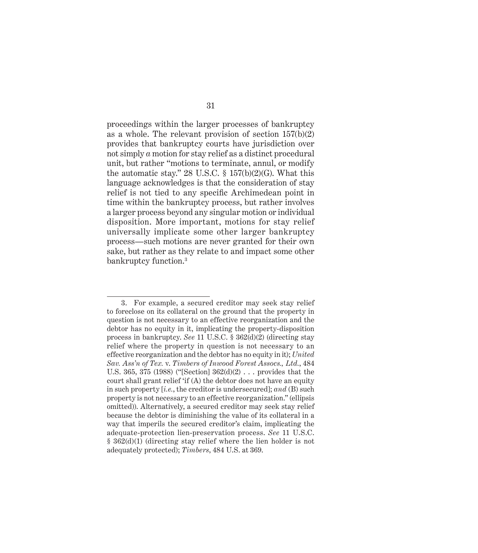proceedings within the larger processes of bankruptcy as a whole. The relevant provision of section 157(b)(2) provides that bankruptcy courts have jurisdiction over not simply *a* motion for stay relief as a distinct procedural unit, but rather "motions to terminate, annul, or modify the automatic stay." 28 U.S.C.  $\S$  157(b)(2)(G). What this language acknowledges is that the consideration of stay relief is not tied to any specific Archimedean point in time within the bankruptcy process, but rather involves a larger process beyond any singular motion or individual disposition. More important, motions for stay relief universally implicate some other larger bankruptcy process—such motions are never granted for their own sake, but rather as they relate to and impact some other bankruptcy function.3

<sup>3.</sup> For example, a secured creditor may seek stay relief to foreclose on its collateral on the ground that the property in question is not necessary to an effective reorganization and the debtor has no equity in it, implicating the property-disposition process in bankruptcy. *See* 11 U.S.C. § 362(d)(2) (directing stay relief where the property in question is not necessary to an effective reorganization and the debtor has no equity in it); *United Sav. Ass'n of Tex.* v. *Timbers of Inwood Forest Assocs., Ltd.*, 484 U.S. 365, 375 (1988) ("[Section] 362(d)(2) . . . provides that the court shall grant relief 'if (A) the debtor does not have an equity in such property [*i.e.*, the creditor is undersecured]; *and* (B) such property is not necessary to an effective reorganization." (ellipsis omitted)). Alternatively, a secured creditor may seek stay relief because the debtor is diminishing the value of its collateral in a way that imperils the secured creditor's claim, implicating the adequate-protection lien-preservation process. *See* 11 U.S.C. § 362(d)(1) (directing stay relief where the lien holder is not adequately protected); *Timbers*, 484 U.S. at 369.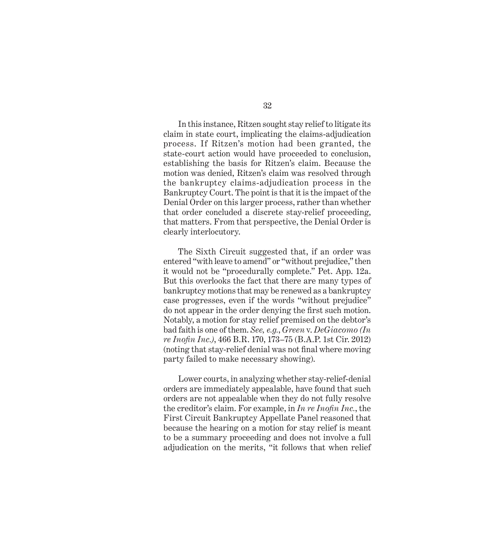In this instance, Ritzen sought stay relief to litigate its claim in state court, implicating the claims-adjudication process. If Ritzen's motion had been granted, the state-court action would have proceeded to conclusion, establishing the basis for Ritzen's claim. Because the motion was denied, Ritzen's claim was resolved through the bankruptcy claims-adjudication process in the Bankruptcy Court. The point is that it is the impact of the Denial Order on this larger process, rather than whether that order concluded a discrete stay-relief proceeding, that matters. From that perspective, the Denial Order is clearly interlocutory.

The Sixth Circuit suggested that, if an order was entered "with leave to amend" or "without prejudice," then it would not be "procedurally complete." Pet. App. 12a. But this overlooks the fact that there are many types of bankruptcy motions that may be renewed as a bankruptcy case progresses, even if the words "without prejudice" do not appear in the order denying the first such motion. Notably, a motion for stay relief premised on the debtor's bad faith is one of them. *See, e.g.*, *Green* v. *DeGiacomo (In re Inofin Inc.)*, 466 B.R. 170, 173–75 (B.A.P. 1st Cir. 2012) (noting that stay-relief denial was not final where moving party failed to make necessary showing).

Lower courts, in analyzing whether stay-relief-denial orders are immediately appealable, have found that such orders are not appealable when they do not fully resolve the creditor's claim. For example, in *In re Inofin Inc.*, the First Circuit Bankruptcy Appellate Panel reasoned that because the hearing on a motion for stay relief is meant to be a summary proceeding and does not involve a full adjudication on the merits, "it follows that when relief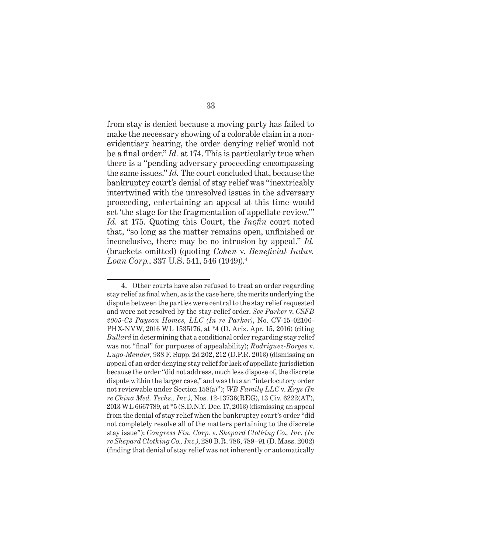from stay is denied because a moving party has failed to make the necessary showing of a colorable claim in a nonevidentiary hearing, the order denying relief would not be a final order." *Id.* at 174. This is particularly true when there is a "pending adversary proceeding encompassing the same issues." *Id.* The court concluded that, because the bankruptcy court's denial of stay relief was "inextricably intertwined with the unresolved issues in the adversary proceeding, entertaining an appeal at this time would set 'the stage for the fragmentation of appellate review.'" *Id.* at 175. Quoting this Court, the *Inofin* court noted that, "so long as the matter remains open, unfinished or inconclusive, there may be no intrusion by appeal." *Id.* (brackets omitted) (quoting *Cohen* v. *Beneficial Indus. Loan Corp.*, 337 U.S. 541, 546 (1949)).4

<sup>4.</sup> Other courts have also refused to treat an order regarding stay relief as final when, as is the case here, the merits underlying the dispute between the parties were central to the stay relief requested and were not resolved by the stay-relief order. *See Parker* v. *CSFB 2005-C3 Payson Homes, LLC (In re Parker)*, No. CV-15-02106- PHX-NVW, 2016 WL 1535176, at \*4 (D. Ariz. Apr. 15, 2016) (citing *Bullard* in determining that a conditional order regarding stay relief was not "final" for purposes of appealability); *Rodriguez-Borges* v. *Lugo-Mender*, 938 F. Supp. 2d 202, 212 (D.P.R. 2013) (dismissing an appeal of an order denying stay relief for lack of appellate jurisdiction because the order "did not address, much less dispose of, the discrete dispute within the larger case," and was thus an "interlocutory order not reviewable under Section 158(a)"); *WB Family LLC* v. *Krys (In re China Med. Techs., Inc.)*, Nos. 12-13736(REG), 13 Civ. 6222(AT), 2013 WL 6667789, at \*5 (S.D.N.Y. Dec. 17, 2013) (dismissing an appeal from the denial of stay relief when the bankruptcy court's order "did not completely resolve all of the matters pertaining to the discrete stay issue"); *Congress Fin. Corp.* v. *Shepard Clothing Co., Inc. (In re Shepard Clothing Co., Inc.)*, 280 B.R. 786, 789–91 (D. Mass. 2002) (finding that denial of stay relief was not inherently or automatically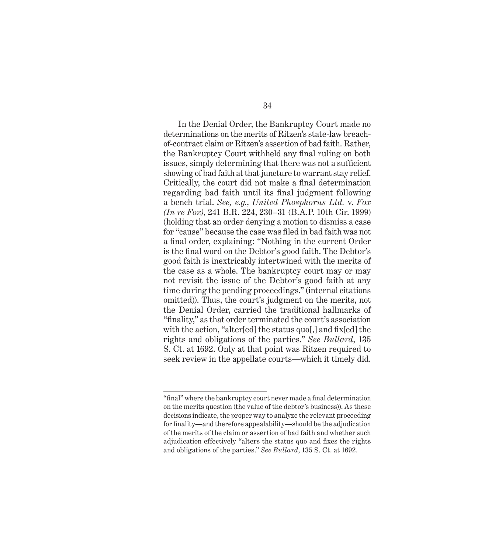In the Denial Order, the Bankruptcy Court made no determinations on the merits of Ritzen's state-law breachof-contract claim or Ritzen's assertion of bad faith. Rather, the Bankruptcy Court withheld any final ruling on both issues, simply determining that there was not a sufficient showing of bad faith at that juncture to warrant stay relief. Critically, the court did not make a final determination regarding bad faith until its final judgment following a bench trial. *See, e.g.*, *United Phosphorus Ltd.* v. *Fox (In re Fox)*, 241 B.R. 224, 230–31 (B.A.P. 10th Cir. 1999) (holding that an order denying a motion to dismiss a case for "cause" because the case was filed in bad faith was not a final order, explaining: "Nothing in the current Order is the final word on the Debtor's good faith. The Debtor's good faith is inextricably intertwined with the merits of the case as a whole. The bankruptcy court may or may not revisit the issue of the Debtor's good faith at any time during the pending proceedings." (internal citations omitted)). Thus, the court's judgment on the merits, not the Denial Order, carried the traditional hallmarks of "finality," as that order terminated the court's association with the action, "alter[ed] the status quo[,] and fix[ed] the rights and obligations of the parties." *See Bullard*, 135 S. Ct. at 1692. Only at that point was Ritzen required to seek review in the appellate courts—which it timely did.

<sup>&</sup>quot;final" where the bankruptcy court never made a final determination on the merits question (the value of the debtor's business)). As these decisions indicate, the proper way to analyze the relevant proceeding for finality—and therefore appealability—should be the adjudication of the merits of the claim or assertion of bad faith and whether such adjudication effectively "alters the status quo and fixes the rights and obligations of the parties." *See Bullard*, 135 S. Ct. at 1692.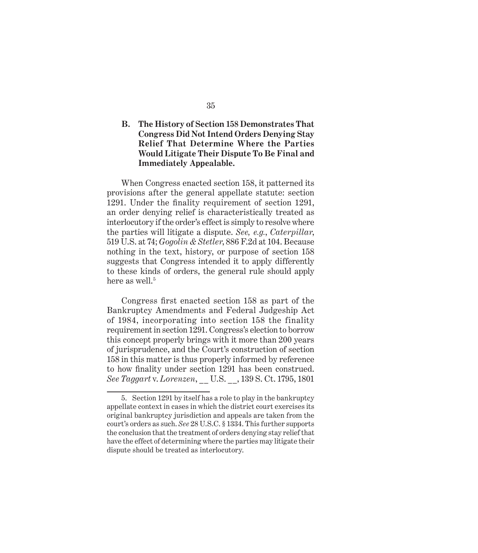# **B. The History of Section 158 Demonstrates That Congress Did Not Intend Orders Denying Stay Relief That Determine Where the Parties Would Litigate Their Dispute To Be Final and Immediately Appealable.**

When Congress enacted section 158, it patterned its provisions after the general appellate statute: section 1291. Under the finality requirement of section 1291, an order denying relief is characteristically treated as interlocutory if the order's effect is simply to resolve where the parties will litigate a dispute. *See, e.g.*, *Caterpillar*, 519 U.S. at 74; *Gogolin & Stetler*, 886 F.2d at 104. Because nothing in the text, history, or purpose of section 158 suggests that Congress intended it to apply differently to these kinds of orders, the general rule should apply here as well.<sup>5</sup>

Congress first enacted section 158 as part of the Bankruptcy Amendments and Federal Judgeship Act of 1984, incorporating into section 158 the finality requirement in section 1291. Congress's election to borrow this concept properly brings with it more than 200 years of jurisprudence, and the Court's construction of section 158 in this matter is thus properly informed by reference to how finality under section 1291 has been construed. *See Taggart* v. *Lorenzen*, \_\_ U.S. \_\_, 139 S. Ct. 1795, 1801

<sup>5.</sup> Section 1291 by itself has a role to play in the bankruptcy appellate context in cases in which the district court exercises its original bankruptcy jurisdiction and appeals are taken from the court's orders as such. *See* 28 U.S.C. § 1334. This further supports the conclusion that the treatment of orders denying stay relief that have the effect of determining where the parties may litigate their dispute should be treated as interlocutory.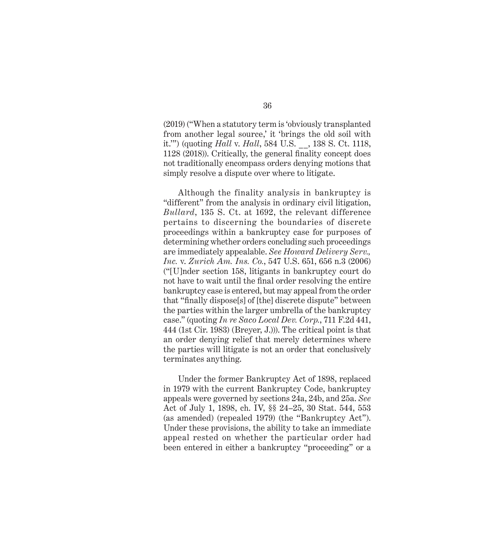(2019) ("When a statutory term is 'obviously transplanted from another legal source,' it 'brings the old soil with it.'") (quoting *Hall* v. *Hall*, 584 U.S. \_\_, 138 S. Ct. 1118, 1128 (2018)). Critically, the general finality concept does not traditionally encompass orders denying motions that simply resolve a dispute over where to litigate.

Although the finality analysis in bankruptcy is "different" from the analysis in ordinary civil litigation, *Bullard*, 135 S. Ct. at 1692, the relevant difference pertains to discerning the boundaries of discrete proceedings within a bankruptcy case for purposes of determining whether orders concluding such proceedings are immediately appealable. *See Howard Delivery Serv., Inc.* v. *Zurich Am. Ins. Co.*, 547 U.S. 651, 656 n.3 (2006) ("[U]nder section 158, litigants in bankruptcy court do not have to wait until the final order resolving the entire bankruptcy case is entered, but may appeal from the order that "finally dispose[s] of [the] discrete dispute" between the parties within the larger umbrella of the bankruptcy case." (quoting *In re Saco Local Dev. Corp.*, 711 F.2d 441, 444 (1st Cir. 1983) (Breyer, J.))). The critical point is that an order denying relief that merely determines where the parties will litigate is not an order that conclusively terminates anything.

Under the former Bankruptcy Act of 1898, replaced in 1979 with the current Bankruptcy Code, bankruptcy appeals were governed by sections 24a, 24b, and 25a. *See*  Act of July 1, 1898, ch. IV, §§ 24–25, 30 Stat. 544, 553 (as amended) (repealed 1979) (the "Bankruptcy Act"). Under these provisions, the ability to take an immediate appeal rested on whether the particular order had been entered in either a bankruptcy "proceeding" or a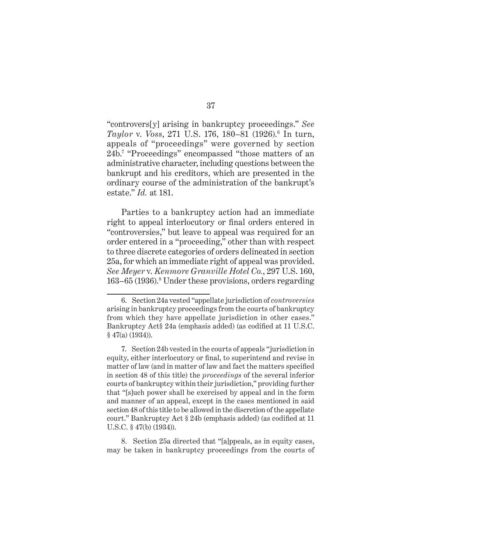"controvers[y] arising in bankruptcy proceedings." *See Taylor* v. *Voss*, 271 U.S. 176, 180–81 (1926).6 In turn, appeals of "proceedings" were governed by section 24b.7 "Proceedings" encompassed "those matters of an administrative character, including questions between the bankrupt and his creditors, which are presented in the ordinary course of the administration of the bankrupt's estate." *Id.* at 181.

Parties to a bankruptcy action had an immediate right to appeal interlocutory or final orders entered in "controversies," but leave to appeal was required for an order entered in a "proceeding," other than with respect to three discrete categories of orders delineated in section 25a, for which an immediate right of appeal was provided. *See Meyer* v. *Kenmore Granville Hotel Co.*, 297 U.S. 160, 163–65 (1936).8 Under these provisions, orders regarding

8. Section 25a directed that "[a]ppeals, as in equity cases, may be taken in bankruptcy proceedings from the courts of

<sup>6.</sup> Section 24a vested "appellate jurisdiction of *controversies* arising in bankruptcy proceedings from the courts of bankruptcy from which they have appellate jurisdiction in other cases." Bankruptcy Act§ 24a (emphasis added) (as codified at 11 U.S.C. § 47(a) (1934)).

<sup>7.</sup> Section 24b vested in the courts of appeals "jurisdiction in equity, either interlocutory or final, to superintend and revise in matter of law (and in matter of law and fact the matters specified in section 48 of this title) the *proceedings* of the several inferior courts of bankruptcy within their jurisdiction," providing further that "[s]uch power shall be exercised by appeal and in the form and manner of an appeal, except in the cases mentioned in said section 48 of this title to be allowed in the discretion of the appellate court." Bankruptcy Act § 24b (emphasis added) (as codified at 11 U.S.C. § 47(b) (1934)).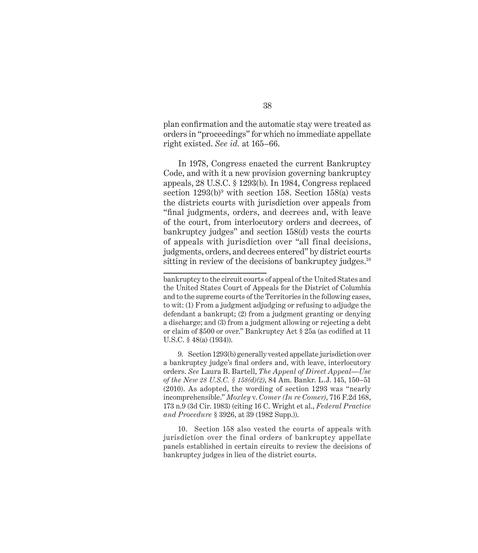plan confirmation and the automatic stay were treated as orders in "proceedings" for which no immediate appellate right existed. *See id.* at 165–66.

In 1978, Congress enacted the current Bankruptcy Code, and with it a new provision governing bankruptcy appeals, 28 U.S.C. § 1293(b). In 1984, Congress replaced section  $1293(b)^9$  with section 158. Section 158(a) vests the districts courts with jurisdiction over appeals from "final judgments, orders, and decrees and, with leave of the court, from interlocutory orders and decrees, of bankruptcy judges" and section 158(d) vests the courts of appeals with jurisdiction over "all final decisions, judgments, orders, and decrees entered" by district courts sitting in review of the decisions of bankruptcy judges.<sup>10</sup>

9. Section 1293(b) generally vested appellate jurisdiction over a bankruptcy judge's final orders and, with leave, interlocutory orders. *See* Laura B. Bartell, *The Appeal of Direct Appeal—Use of the New 28 U.S.C. § 158(d)(2)*, 84 Am. Bankr. L.J. 145, 150–51 (2010). As adopted, the wording of section 1293 was "nearly incomprehensible." *Moxley* v. *Comer (In re Comer)*, 716 F.2d 168, 173 n.9 (3d Cir. 1983) (citing 16 C. Wright et al., *Federal Practice and Procedure* § 3926, at 39 (1982 Supp.)).

10. Section 158 also vested the courts of appeals with jurisdiction over the final orders of bankruptcy appellate panels established in certain circuits to review the decisions of bankruptcy judges in lieu of the district courts.

bankruptcy to the circuit courts of appeal of the United States and the United States Court of Appeals for the District of Columbia and to the supreme courts of the Territories in the following cases, to wit: (1) From a judgment adjudging or refusing to adjudge the defendant a bankrupt; (2) from a judgment granting or denying a discharge; and (3) from a judgment allowing or rejecting a debt or claim of \$500 or over." Bankruptcy Act § 25a (as codified at 11 U.S.C. § 48(a) (1934)).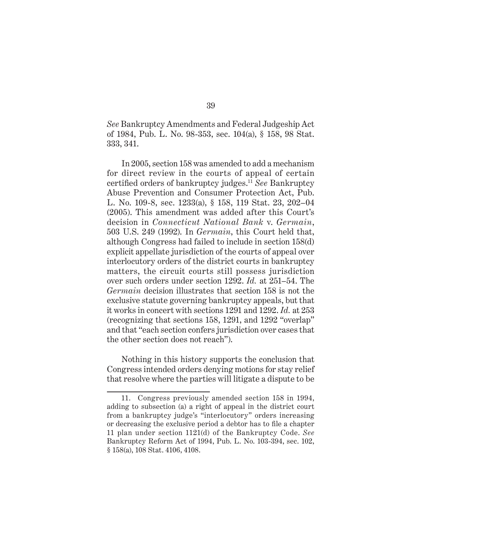*See* Bankruptcy Amendments and Federal Judgeship Act of 1984, Pub. L. No. 98-353, sec. 104(a), § 158, 98 Stat. 333, 341.

In 2005, section 158 was amended to add a mechanism for direct review in the courts of appeal of certain certified orders of bankruptcy judges.<sup>11</sup> *See* Bankruptcy Abuse Prevention and Consumer Protection Act, Pub. L. No. 109-8, sec. 1233(a), § 158, 119 Stat. 23, 202–04 (2005). This amendment was added after this Court's decision in *Connecticut National Bank* v. *Germain*, 503 U.S. 249 (1992). In *Germain*, this Court held that, although Congress had failed to include in section 158(d) explicit appellate jurisdiction of the courts of appeal over interlocutory orders of the district courts in bankruptcy matters, the circuit courts still possess jurisdiction over such orders under section 1292. *Id.* at 251–54. The *Germain* decision illustrates that section 158 is not the exclusive statute governing bankruptcy appeals, but that it works in concert with sections 1291 and 1292. *Id.* at 253 (recognizing that sections 158, 1291, and 1292 "overlap" and that "each section confers jurisdiction over cases that the other section does not reach").

Nothing in this history supports the conclusion that Congress intended orders denying motions for stay relief that resolve where the parties will litigate a dispute to be

<sup>11.</sup> Congress previously amended section 158 in 1994, adding to subsection (a) a right of appeal in the district court from a bankruptcy judge's "interlocutory" orders increasing or decreasing the exclusive period a debtor has to file a chapter 11 plan under section 1121(d) of the Bankruptcy Code. *See*  Bankruptcy Reform Act of 1994, Pub. L. No. 103-394, sec. 102, § 158(a), 108 Stat. 4106, 4108.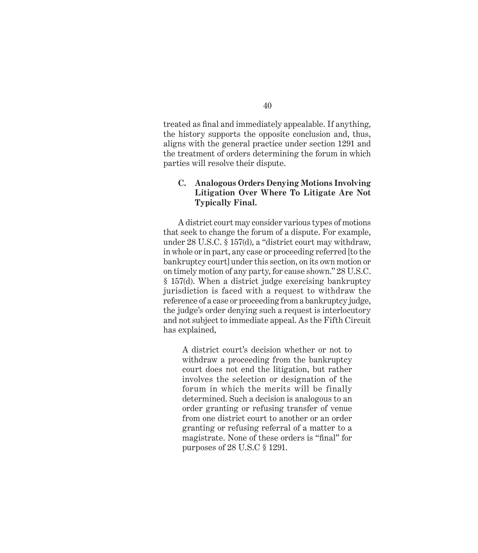treated as final and immediately appealable. If anything, the history supports the opposite conclusion and, thus, aligns with the general practice under section 1291 and the treatment of orders determining the forum in which parties will resolve their dispute.

# **C. Analogous Orders Denying Motions Involving Litigation Over Where To Litigate Are Not Typically Final.**

A district court may consider various types of motions that seek to change the forum of a dispute. For example, under 28 U.S.C. § 157(d), a "district court may withdraw, in whole or in part, any case or proceeding referred [to the bankruptcy court] under this section, on its own motion or on timely motion of any party, for cause shown." 28 U.S.C. § 157(d). When a district judge exercising bankruptcy jurisdiction is faced with a request to withdraw the reference of a case or proceeding from a bankruptcy judge, the judge's order denying such a request is interlocutory and not subject to immediate appeal. As the Fifth Circuit has explained,

A district court's decision whether or not to withdraw a proceeding from the bankruptcy court does not end the litigation, but rather involves the selection or designation of the forum in which the merits will be finally determined. Such a decision is analogous to an order granting or refusing transfer of venue from one district court to another or an order granting or refusing referral of a matter to a magistrate. None of these orders is "final" for purposes of 28 U.S.C § 1291.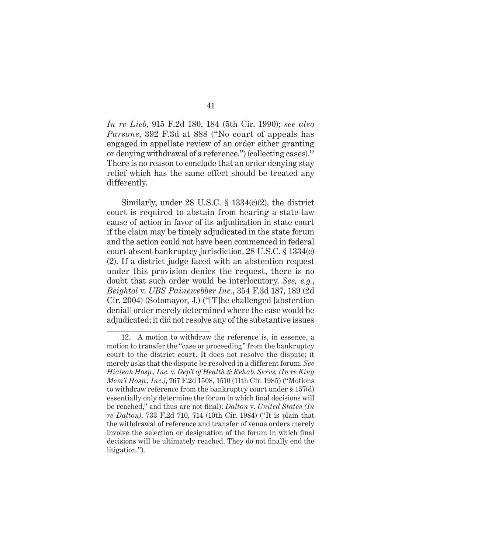*In re Lieb*, 915 F.2d 180, 184 (5th Cir. 1990); *see also Parsons*, 392 F.3d at 888 ("No court of appeals has engaged in appellate review of an order either granting or denying withdrawal of a reference.") (collecting cases).<sup>12</sup> There is no reason to conclude that an order denying stay relief which has the same effect should be treated any differently.

Similarly, under 28 U.S.C. § 1334(c)(2), the district court is required to abstain from hearing a state-law cause of action in favor of its adjudication in state court if the claim may be timely adjudicated in the state forum and the action could not have been commenced in federal court absent bankruptcy jurisdiction. 28 U.S.C. § 1334(c) (2). If a district judge faced with an abstention request under this provision denies the request, there is no doubt that such order would be interlocutory. *See, e.g.*, *Beightol* v. *UBS Painewebber Inc.*, 354 F.3d 187, 189 (2d Cir. 2004) (Sotomayor, J.) ("[T]he challenged [abstention denial] order merely determined where the case would be adjudicated; it did not resolve any of the substantive issues

<sup>12.</sup> A motion to withdraw the reference is, in essence, a motion to transfer the "case or proceeding" from the bankruptcy court to the district court. It does not resolve the dispute; it merely asks that the dispute be resolved in a different forum. *See Hialeah Hosp., Inc.* v. *Dep't of Health & Rehab. Servs, (In re King Mem'l Hosp., Inc*.*)*, 767 F.2d 1508, 1510 (11th Cir. 1985) ("Motions to withdraw reference from the bankruptcy court under § 157(d) essentially only determine the forum in which final decisions will be reached," and thus are not final); *Dalton* v. *United States (In re Dalton)*, 733 F.2d 710, 714 (10th Cir. 1984) ("It is plain that the withdrawal of reference and transfer of venue orders merely involve the selection or designation of the forum in which final decisions will be ultimately reached. They do not finally end the litigation.").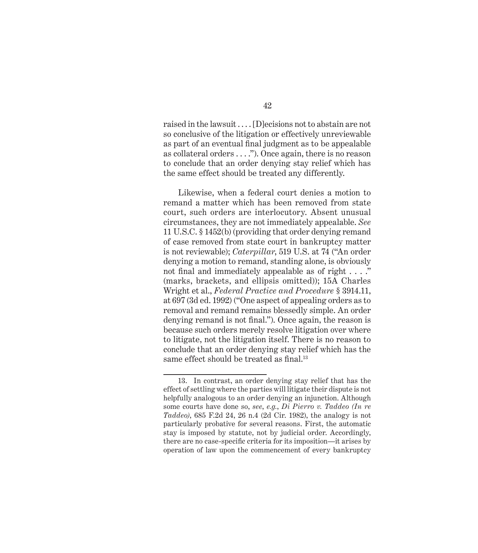raised in the lawsuit . . . . [D]ecisions not to abstain are not so conclusive of the litigation or effectively unreviewable as part of an eventual final judgment as to be appealable as collateral orders . . . ."). Once again, there is no reason to conclude that an order denying stay relief which has the same effect should be treated any differently.

Likewise, when a federal court denies a motion to remand a matter which has been removed from state court, such orders are interlocutory. Absent unusual circumstances, they are not immediately appealable. *See* 11 U.S.C. § 1452(b) (providing that order denying remand of case removed from state court in bankruptcy matter is not reviewable); *Caterpillar*, 519 U.S. at 74 ("An order denying a motion to remand, standing alone, is obviously not final and immediately appealable as of right . . . ." (marks, brackets, and ellipsis omitted)); 15A Charles Wright et al., *Federal Practice and Procedure* § 3914.11, at 697 (3d ed. 1992) ("One aspect of appealing orders as to removal and remand remains blessedly simple. An order denying remand is not final."). Once again, the reason is because such orders merely resolve litigation over where to litigate, not the litigation itself. There is no reason to conclude that an order denying stay relief which has the same effect should be treated as final.<sup>13</sup>

42

<sup>13.</sup> In contrast, an order denying stay relief that has the effect of settling where the parties will litigate their dispute is not helpfully analogous to an order denying an injunction. Although some courts have done so, *see*, *e.g.*, *Di Pierro v. Taddeo (In re Taddeo)*, 685 F.2d 24, 26 n.4 (2d Cir. 1982), the analogy is not particularly probative for several reasons. First, the automatic stay is imposed by statute, not by judicial order. Accordingly, there are no case-specific criteria for its imposition—it arises by operation of law upon the commencement of every bankruptcy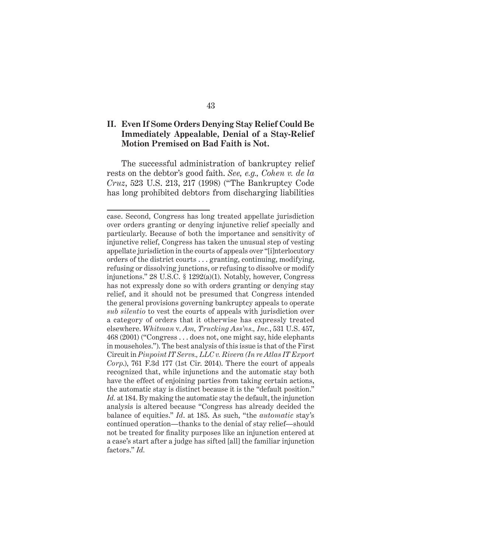## **II. Even If Some Orders Denying Stay Relief Could Be Immediately Appealable, Denial of a Stay-Relief Motion Premised on Bad Faith is Not.**

The successful administration of bankruptcy relief rests on the debtor's good faith. *See, e.g., Cohen v. de la Cruz*, 523 U.S. 213, 217 (1998) ("The Bankruptcy Code has long prohibited debtors from discharging liabilities

case. Second, Congress has long treated appellate jurisdiction over orders granting or denying injunctive relief specially and particularly. Because of both the importance and sensitivity of injunctive relief, Congress has taken the unusual step of vesting appellate jurisdiction in the courts of appeals over "[i]nterlocutory orders of the district courts . . . granting, continuing, modifying, refusing or dissolving junctions, or refusing to dissolve or modify injunctions." 28 U.S.C. § 1292(a)(1). Notably, however, Congress has not expressly done so with orders granting or denying stay relief, and it should not be presumed that Congress intended the general provisions governing bankruptcy appeals to operate *sub silentio* to vest the courts of appeals with jurisdiction over a category of orders that it otherwise has expressly treated elsewhere. *Whitman* v. *Am, Trucking Ass'ns., Inc.*, 531 U.S. 457, 468 (2001) ("Congress . . . does not, one might say, hide elephants in mouseholes."). The best analysis of this issue is that of the First Circuit in *Pinpoint IT Servs., LLC v. Rivera (In re Atlas IT Export Corp*.), 761 F.3d 177 (1st Cir. 2014). There the court of appeals recognized that, while injunctions and the automatic stay both have the effect of enjoining parties from taking certain actions, the automatic stay is distinct because it is the "default position." *Id.* at 184. By making the automatic stay the default, the injunction analysis is altered because "Congress has already decided the balance of equities." *Id*. at 185. As such, "the *automatic* stay's continued operation—thanks to the denial of stay relief—should not be treated for finality purposes like an injunction entered at a case's start after a judge has sifted [all] the familiar injunction factors." *Id.*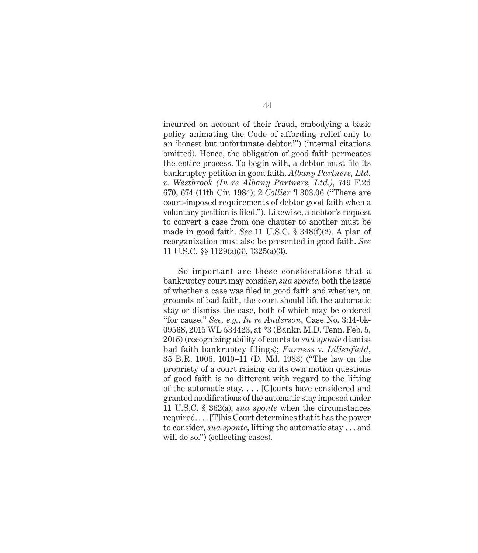incurred on account of their fraud, embodying a basic policy animating the Code of affording relief only to an 'honest but unfortunate debtor.'") (internal citations omitted). Hence, the obligation of good faith permeates the entire process. To begin with, a debtor must file its bankruptcy petition in good faith. *Albany Partners, Ltd. v. Westbrook (In re Albany Partners, Ltd.)*, 749 F.2d 670, 674 (11th Cir. 1984); 2 *Collier* ¶ 303.06 ("There are court-imposed requirements of debtor good faith when a voluntary petition is filed."). Likewise, a debtor's request to convert a case from one chapter to another must be made in good faith. *See* 11 U.S.C. § 348(f)(2). A plan of reorganization must also be presented in good faith. *See* 11 U.S.C. §§ 1129(a)(3), 1325(a)(3).

So important are these considerations that a bankruptcy court may consider, *sua sponte*, both the issue of whether a case was filed in good faith and whether, on grounds of bad faith, the court should lift the automatic stay or dismiss the case, both of which may be ordered "for cause." *See, e.g.*, *In re Anderson*, Case No. 3:14-bk-09568, 2015 WL 534423, at \*3 (Bankr. M.D. Tenn. Feb. 5, 2015) (recognizing ability of courts to *sua sponte* dismiss bad faith bankruptcy filings); *Furness* v. *Lilienfield*, 35 B.R. 1006, 1010–11 (D. Md. 1983) ("The law on the propriety of a court raising on its own motion questions of good faith is no different with regard to the lifting of the automatic stay. . . . [C]ourts have considered and granted modifications of the automatic stay imposed under 11 U.S.C. § 362(a), *sua sponte* when the circumstances required. . . . [T]his Court determines that it has the power to consider, *sua sponte*, lifting the automatic stay . . . and will do so.") (collecting cases).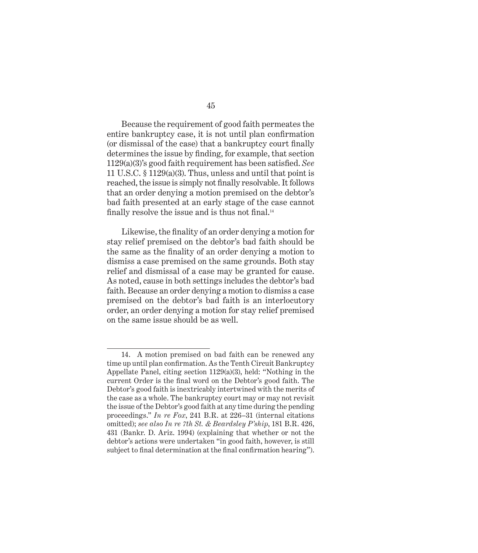Because the requirement of good faith permeates the entire bankruptcy case, it is not until plan confirmation (or dismissal of the case) that a bankruptcy court finally determines the issue by finding, for example, that section 1129(a)(3)'s good faith requirement has been satisfied. *See* 11 U.S.C. § 1129(a)(3). Thus, unless and until that point is reached, the issue is simply not finally resolvable. It follows that an order denying a motion premised on the debtor's bad faith presented at an early stage of the case cannot finally resolve the issue and is thus not final.<sup>14</sup>

Likewise, the finality of an order denying a motion for stay relief premised on the debtor's bad faith should be the same as the finality of an order denying a motion to dismiss a case premised on the same grounds. Both stay relief and dismissal of a case may be granted for cause. As noted, cause in both settings includes the debtor's bad faith. Because an order denying a motion to dismiss a case premised on the debtor's bad faith is an interlocutory order, an order denying a motion for stay relief premised on the same issue should be as well.

<sup>14.</sup> A motion premised on bad faith can be renewed any time up until plan confirmation. As the Tenth Circuit Bankruptcy Appellate Panel, citing section 1129(a)(3), held: "Nothing in the current Order is the final word on the Debtor's good faith. The Debtor's good faith is inextricably intertwined with the merits of the case as a whole. The bankruptcy court may or may not revisit the issue of the Debtor's good faith at any time during the pending proceedings." *In re Fox*, 241 B.R. at 226–31 (internal citations omitted); *see also In re 7th St. & Beardsley P'ship*, 181 B.R. 426, 431 (Bankr. D. Ariz. 1994) (explaining that whether or not the debtor's actions were undertaken "in good faith, however, is still subject to final determination at the final confirmation hearing").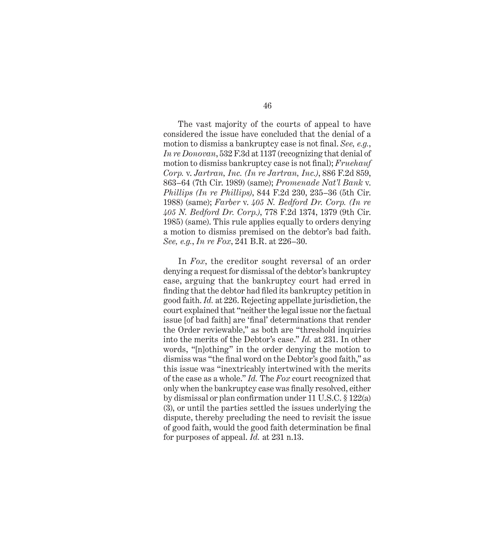The vast majority of the courts of appeal to have considered the issue have concluded that the denial of a motion to dismiss a bankruptcy case is not final. *See, e.g.*, *In re Donovan*, 532 F.3d at 1137 (recognizing that denial of motion to dismiss bankruptcy case is not final); *Fruehauf Corp.* v. *Jartran, Inc. (In re Jartran, Inc.)*, 886 F.2d 859, 863–64 (7th Cir. 1989) (same); *Promenade Nat'l Bank* v. *Phillips (In re Phillips)*, 844 F.2d 230, 235–36 (5th Cir. 1988) (same); *Farber* v. *405 N. Bedford Dr. Corp. (In re 405 N. Bedford Dr. Corp.)*, 778 F.2d 1374, 1379 (9th Cir. 1985) (same). This rule applies equally to orders denying a motion to dismiss premised on the debtor's bad faith. *See, e.g.*, *In re Fox*, 241 B.R. at 226–30.

In *Fox*, the creditor sought reversal of an order denying a request for dismissal of the debtor's bankruptcy case, arguing that the bankruptcy court had erred in finding that the debtor had filed its bankruptcy petition in good faith. *Id.* at 226. Rejecting appellate jurisdiction, the court explained that "neither the legal issue nor the factual issue [of bad faith] are 'final' determinations that render the Order reviewable," as both are "threshold inquiries into the merits of the Debtor's case." *Id.* at 231. In other words, "[n]othing" in the order denying the motion to dismiss was "the final word on the Debtor's good faith," as this issue was "inextricably intertwined with the merits of the case as a whole." *Id.* The *Fox* court recognized that only when the bankruptcy case was finally resolved, either by dismissal or plan confirmation under 11 U.S.C. § 122(a) (3), or until the parties settled the issues underlying the dispute, thereby precluding the need to revisit the issue of good faith, would the good faith determination be final for purposes of appeal. *Id.* at 231 n.13.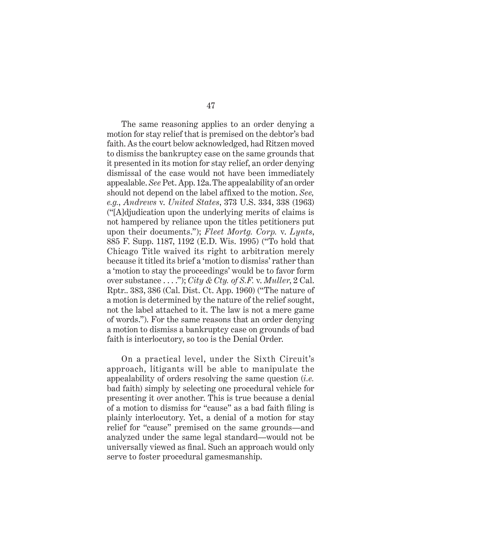The same reasoning applies to an order denying a motion for stay relief that is premised on the debtor's bad faith. As the court below acknowledged, had Ritzen moved to dismiss the bankruptcy case on the same grounds that it presented in its motion for stay relief, an order denying dismissal of the case would not have been immediately appealable. *See* Pet. App. 12a.The appealability of an order should not depend on the label affixed to the motion. *See, e.g.*, *Andrews* v. *United States*, 373 U.S. 334, 338 (1963) ("[A]djudication upon the underlying merits of claims is not hampered by reliance upon the titles petitioners put upon their documents."); *Fleet Mortg. Corp.* v. *Lynts*, 885 F. Supp. 1187, 1192 (E.D. Wis. 1995) ("To hold that Chicago Title waived its right to arbitration merely because it titled its brief a 'motion to dismiss' rather than a 'motion to stay the proceedings' would be to favor form over substance . . . ."); *City & Cty. of S.F.* v. *Muller*, 2 Cal. Rptr.. 383, 386 (Cal. Dist. Ct. App. 1960) ("The nature of a motion is determined by the nature of the relief sought, not the label attached to it. The law is not a mere game of words."). For the same reasons that an order denying a motion to dismiss a bankruptcy case on grounds of bad faith is interlocutory, so too is the Denial Order.

On a practical level, under the Sixth Circuit's approach, litigants will be able to manipulate the appealability of orders resolving the same question (*i.e.* bad faith) simply by selecting one procedural vehicle for presenting it over another. This is true because a denial of a motion to dismiss for "cause" as a bad faith filing is plainly interlocutory. Yet, a denial of a motion for stay relief for "cause" premised on the same grounds—and analyzed under the same legal standard—would not be universally viewed as final. Such an approach would only serve to foster procedural gamesmanship.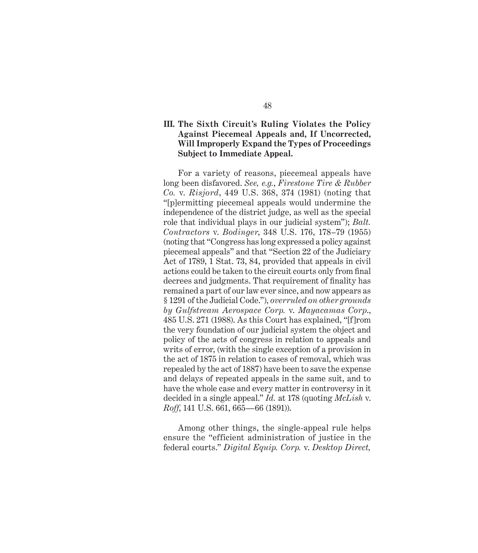# **III. The Sixth Circuit's Ruling Violates the Policy Against Piecemeal Appeals and, If Uncorrected, Will Improperly Expand the Types of Proceedings Subject to Immediate Appeal.**

For a variety of reasons, piecemeal appeals have long been disfavored. *See, e.g.*, *Firestone Tire & Rubber Co.* v. *Risjord*, 449 U.S. 368, 374 (1981) (noting that "[p]ermitting piecemeal appeals would undermine the independence of the district judge, as well as the special role that individual plays in our judicial system"); *Balt. Contractors* v. *Bodinger*, 348 U.S. 176, 178–79 (1955) (noting that "Congress has long expressed a policy against piecemeal appeals" and that "Section 22 of the Judiciary Act of 1789, 1 Stat. 73, 84, provided that appeals in civil actions could be taken to the circuit courts only from final decrees and judgments. That requirement of finality has remained a part of our law ever since, and now appears as § 1291 of the Judicial Code."), *overruled on other grounds by Gulfstream Aerospace Corp.* v. *Mayacamas Corp*., 485 U.S. 271 (1988). As this Court has explained, "[f]rom the very foundation of our judicial system the object and policy of the acts of congress in relation to appeals and writs of error, (with the single exception of a provision in the act of 1875 in relation to cases of removal, which was repealed by the act of 1887) have been to save the expense and delays of repeated appeals in the same suit, and to have the whole case and every matter in controversy in it decided in a single appeal." *Id.* at 178 (quoting *McLish* v. *Roff*, 141 U.S. 661, 665—66 (1891)).

Among other things, the single-appeal rule helps ensure the "efficient administration of justice in the federal courts." *Digital Equip. Corp.* v. *Desktop Direct,*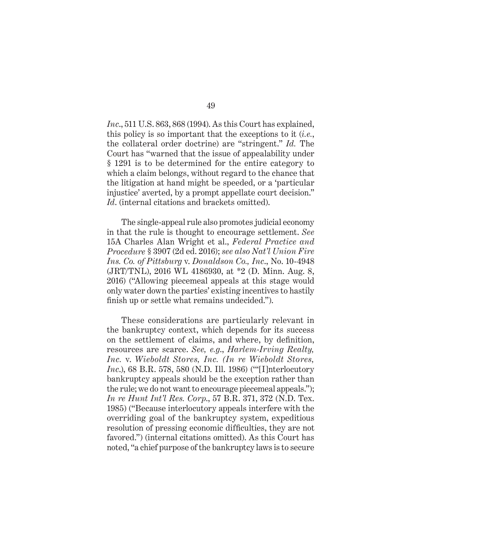*Inc*., 511 U.S. 863, 868 (1994). As this Court has explained, this policy is so important that the exceptions to it (*i.e.*, the collateral order doctrine) are "stringent." *Id.* The Court has "warned that the issue of appealability under § 1291 is to be determined for the entire category to which a claim belongs, without regard to the chance that the litigation at hand might be speeded, or a 'particular injustice' averted, by a prompt appellate court decision." *Id*. (internal citations and brackets omitted).

The single-appeal rule also promotes judicial economy in that the rule is thought to encourage settlement. *See* 15A Charles Alan Wright et al., *Federal Practice and Procedure* § 3907 (2d ed. 2016); *see also Nat'l Union Fire Ins. Co. of Pittsburg* v. *Donaldson Co., Inc*., No. 10-4948 (JRT/TNL), 2016 WL 4186930, at \*2 (D. Minn. Aug. 8, 2016) ("Allowing piecemeal appeals at this stage would only water down the parties' existing incentives to hastily finish up or settle what remains undecided.").

These considerations are particularly relevant in the bankruptcy context, which depends for its success on the settlement of claims, and where, by definition, resources are scarce. *See, e.g*., *Harlem-Irving Realty, Inc.* v. *Wieboldt Stores, Inc. (In re Wieboldt Stores, Inc*.), 68 B.R. 578, 580 (N.D. Ill. 1986) ('"[I]nterlocutory bankruptcy appeals should be the exception rather than the rule; we do not want to encourage piecemeal appeals."); *In re Hunt Int'l Res. Corp*., 57 B.R. 371, 372 (N.D. Tex. 1985) ("Because interlocutory appeals interfere with the overriding goal of the bankruptcy system, expeditious resolution of pressing economic difficulties, they are not favored.") (internal citations omitted). As this Court has noted, "a chief purpose of the bankruptcy laws is to secure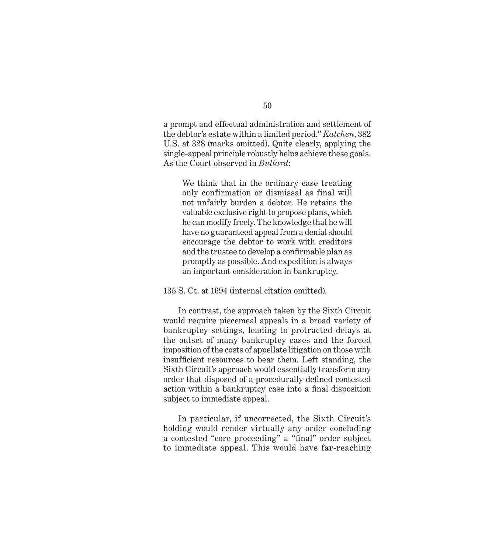a prompt and effectual administration and settlement of the debtor's estate within a limited period." *Katchen*, 382 U.S. at 328 (marks omitted). Quite clearly, applying the single-appeal principle robustly helps achieve these goals. As the Court observed in *Bullard*:

We think that in the ordinary case treating only confirmation or dismissal as final will not unfairly burden a debtor. He retains the valuable exclusive right to propose plans, which he can modify freely. The knowledge that he will have no guaranteed appeal from a denial should encourage the debtor to work with creditors and the trustee to develop a confirmable plan as promptly as possible. And expedition is always an important consideration in bankruptcy.

135 S. Ct. at 1694 (internal citation omitted).

In contrast, the approach taken by the Sixth Circuit would require piecemeal appeals in a broad variety of bankruptcy settings, leading to protracted delays at the outset of many bankruptcy cases and the forced imposition of the costs of appellate litigation on those with insufficient resources to bear them. Left standing, the Sixth Circuit's approach would essentially transform any order that disposed of a procedurally defined contested action within a bankruptcy case into a final disposition subject to immediate appeal.

In particular, if uncorrected, the Sixth Circuit's holding would render virtually any order concluding a contested "core proceeding" a "final" order subject to immediate appeal. This would have far-reaching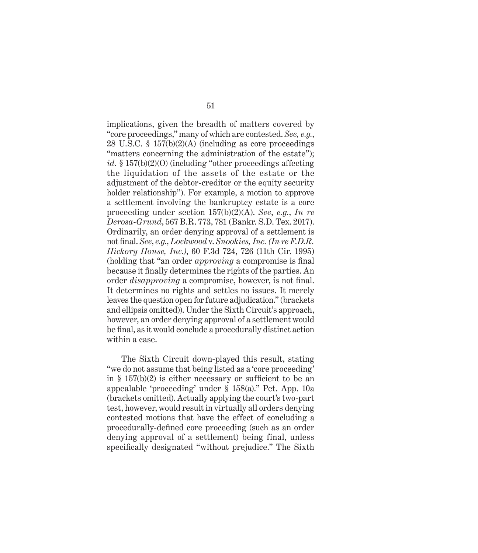implications, given the breadth of matters covered by "core proceedings," many of which are contested. *See, e.g.*, 28 U.S.C. § 157(b)(2)(A) (including as core proceedings "matters concerning the administration of the estate"); *id.* § 157(b)(2)(O) (including "other proceedings affecting the liquidation of the assets of the estate or the adjustment of the debtor-creditor or the equity security holder relationship"). For example, a motion to approve a settlement involving the bankruptcy estate is a core proceeding under section 157(b)(2)(A). *See*, *e.g.*, *In re Derosa-Grund*, 567 B.R. 773, 781 (Bankr. S.D. Tex. 2017). Ordinarily, an order denying approval of a settlement is not final. *See*, *e.g.*, *Lockwood* v. *Snookies, Inc. (In re F.D.R. Hickory House, Inc.)*, 60 F.3d 724, 726 (11th Cir. 1995) (holding that "an order *approving* a compromise is final because it finally determines the rights of the parties. An order *disapproving* a compromise, however, is not final. It determines no rights and settles no issues. It merely leaves the question open for future adjudication." (brackets and ellipsis omitted)). Under the Sixth Circuit's approach, however, an order denying approval of a settlement would be final, as it would conclude a procedurally distinct action within a case.

The Sixth Circuit down-played this result, stating "we do not assume that being listed as a 'core proceeding' in § 157(b)(2) is either necessary or sufficient to be an appealable 'proceeding' under § 158(a)." Pet. App. 10a (brackets omitted). Actually applying the court's two-part test, however, would result in virtually all orders denying contested motions that have the effect of concluding a procedurally-defined core proceeding (such as an order denying approval of a settlement) being final, unless specifically designated "without prejudice." The Sixth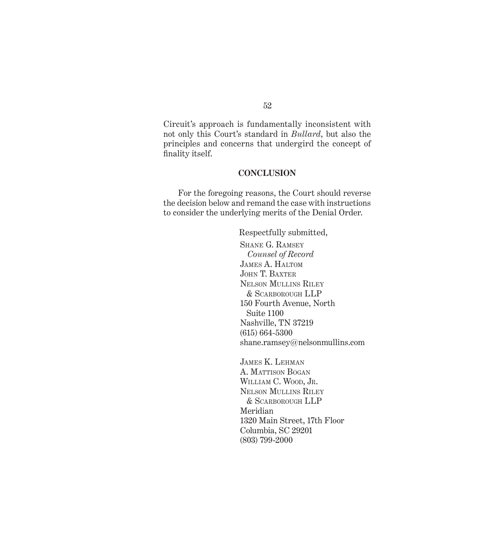Circuit's approach is fundamentally inconsistent with not only this Court's standard in *Bullard*, but also the principles and concerns that undergird the concept of finality itself.

## **CONCLUSION**

For the foregoing reasons, the Court should reverse the decision below and remand the case with instructions to consider the underlying merits of the Denial Order.

> Respectfully submitted, Shane G. Ramsey *Counsel of Record*  James A. Haltom JOHN T. BAXTER Nelson Mullins Riley & Scarborough LLP 150 Fourth Avenue, North Suite 1100 Nashville, TN 37219 (615) 664-5300 shane.ramsey@nelsonmullins.com

James K. Lehman A. MATTISON BOGAN WILLIAM C. WOOD, JR. Nelson Mullins Riley & Scarborough LLP Meridian 1320 Main Street, 17th Floor Columbia, SC 29201 (803) 799-2000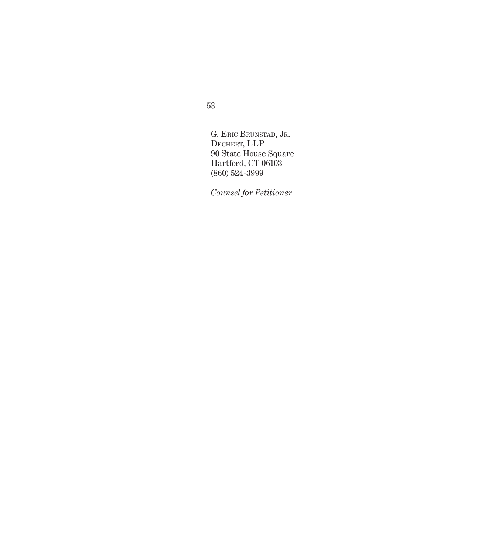53

G. Eric Brunstad, Jr. DECHERT, LLP 90 State House Square Hartford, CT 06103 (860) 524-3999

*Counsel for Petitioner*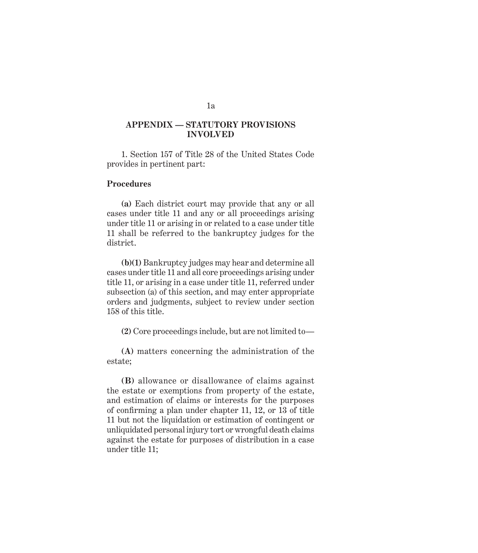# *Appendix* **APPENDIX — STATUTORY PROVISIONS INVOLVED**

1. Section 157 of Title 28 of the United States Code provides in pertinent part:

## **Procedures**

**(a)** Each district court may provide that any or all cases under title 11 and any or all proceedings arising under title 11 or arising in or related to a case under title 11 shall be referred to the bankruptcy judges for the district.

**(b)(1)** Bankruptcy judges may hear and determine all cases under title 11 and all core proceedings arising under title 11, or arising in a case under title 11, referred under subsection (a) of this section, and may enter appropriate orders and judgments, subject to review under section 158 of this title.

**(2)** Core proceedings include, but are not limited to—

**(A)** matters concerning the administration of the estate;

**(B)** allowance or disallowance of claims against the estate or exemptions from property of the estate, and estimation of claims or interests for the purposes of confirming a plan under chapter 11, 12, or 13 of title 11 but not the liquidation or estimation of contingent or unliquidated personal injury tort or wrongful death claims against the estate for purposes of distribution in a case under title 11;

#### 1a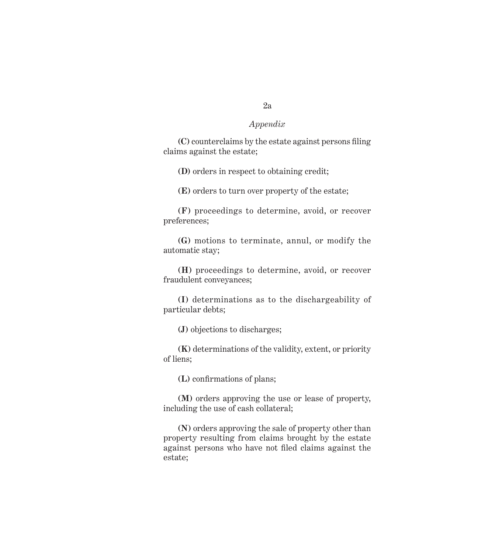**(C)** counterclaims by the estate against persons filing claims against the estate;

**(D)** orders in respect to obtaining credit;

**(E)** orders to turn over property of the estate;

**(F)** proceedings to determine, avoid, or recover preferences;

**(G)** motions to terminate, annul, or modify the automatic stay;

**(H)** proceedings to determine, avoid, or recover fraudulent conveyances;

**(I)** determinations as to the dischargeability of particular debts;

**(J)** objections to discharges;

**(K)** determinations of the validity, extent, or priority of liens;

**(L)** confirmations of plans;

**(M)** orders approving the use or lease of property, including the use of cash collateral;

**(N)** orders approving the sale of property other than property resulting from claims brought by the estate against persons who have not filed claims against the estate;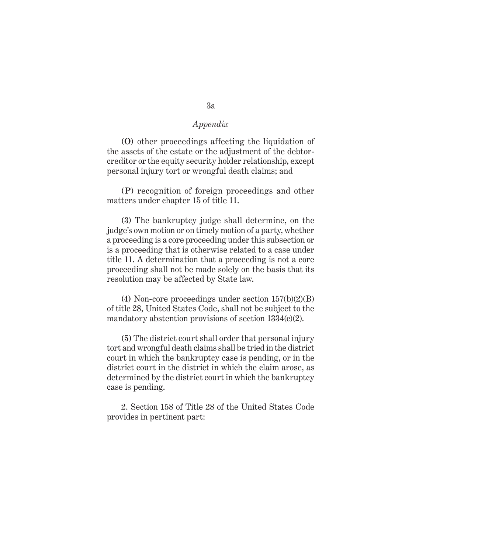**(O)** other proceedings affecting the liquidation of the assets of the estate or the adjustment of the debtorcreditor or the equity security holder relationship, except personal injury tort or wrongful death claims; and

**(P)** recognition of foreign proceedings and other matters under chapter 15 of title 11.

**(3)** The bankruptcy judge shall determine, on the judge's own motion or on timely motion of a party, whether a proceeding is a core proceeding under this subsection or is a proceeding that is otherwise related to a case under title 11. A determination that a proceeding is not a core proceeding shall not be made solely on the basis that its resolution may be affected by State law.

**(4)** Non-core proceedings under section 157(b)(2)(B) of title 28, United States Code, shall not be subject to the mandatory abstention provisions of section  $1334(c)(2)$ .

**(5)** The district court shall order that personal injury tort and wrongful death claims shall be tried in the district court in which the bankruptcy case is pending, or in the district court in the district in which the claim arose, as determined by the district court in which the bankruptcy case is pending.

2. Section 158 of Title 28 of the United States Code provides in pertinent part: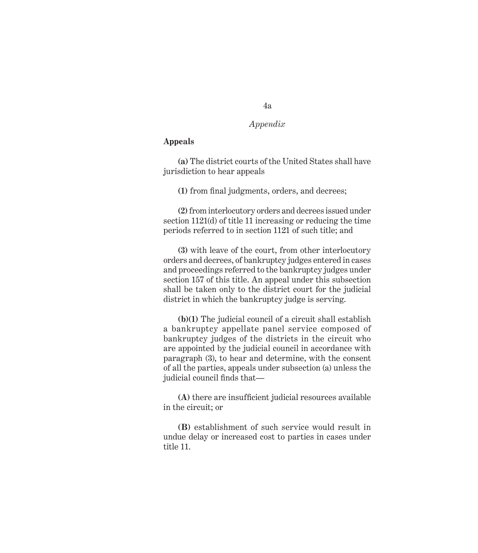# **Appeals**

**(a)** The district courts of the United States shall have jurisdiction to hear appeals

**(1)** from final judgments, orders, and decrees;

**(2)** from interlocutory orders and decrees issued under section 1121(d) of title 11 increasing or reducing the time periods referred to in section 1121 of such title; and

**(3)** with leave of the court, from other interlocutory orders and decrees, of bankruptcy judges entered in cases and proceedings referred to the bankruptcy judges under section 157 of this title. An appeal under this subsection shall be taken only to the district court for the judicial district in which the bankruptcy judge is serving.

**(b)(1)** The judicial council of a circuit shall establish a bankruptcy appellate panel service composed of bankruptcy judges of the districts in the circuit who are appointed by the judicial council in accordance with paragraph (3), to hear and determine, with the consent of all the parties, appeals under subsection (a) unless the judicial council finds that—

**(A)** there are insufficient judicial resources available in the circuit; or

**(B)** establishment of such service would result in undue delay or increased cost to parties in cases under title 11.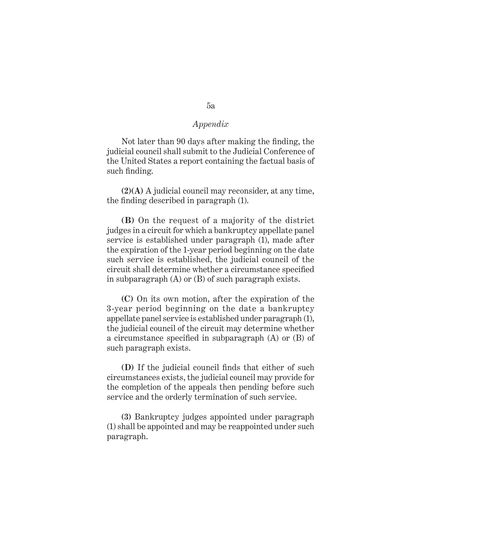Not later than 90 days after making the finding, the judicial council shall submit to the Judicial Conference of the United States a report containing the factual basis of such finding.

**(2)(A)** A judicial council may reconsider, at any time, the finding described in paragraph (1).

**(B)** On the request of a majority of the district judges in a circuit for which a bankruptcy appellate panel service is established under paragraph (1), made after the expiration of the 1-year period beginning on the date such service is established, the judicial council of the circuit shall determine whether a circumstance specified in subparagraph (A) or (B) of such paragraph exists.

**(C)** On its own motion, after the expiration of the 3-year period beginning on the date a bankruptcy appellate panel service is established under paragraph (1), the judicial council of the circuit may determine whether a circumstance specified in subparagraph (A) or (B) of such paragraph exists.

**(D)** If the judicial council finds that either of such circumstances exists, the judicial council may provide for the completion of the appeals then pending before such service and the orderly termination of such service.

**(3)** Bankruptcy judges appointed under paragraph (1) shall be appointed and may be reappointed under such paragraph.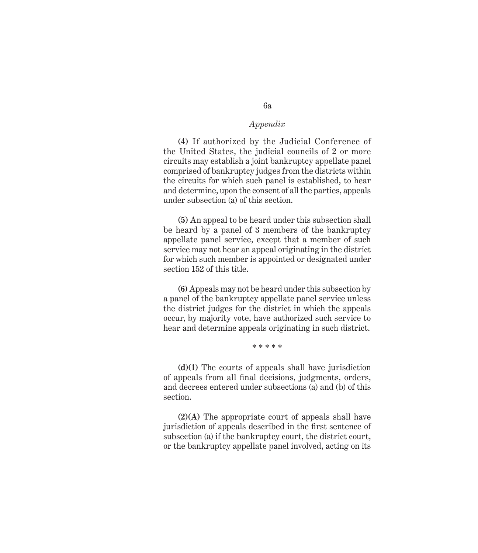**(4)** If authorized by the Judicial Conference of the United States, the judicial councils of 2 or more circuits may establish a joint bankruptcy appellate panel comprised of bankruptcy judges from the districts within the circuits for which such panel is established, to hear and determine, upon the consent of all the parties, appeals under subsection (a) of this section.

**(5)** An appeal to be heard under this subsection shall be heard by a panel of 3 members of the bankruptcy appellate panel service, except that a member of such service may not hear an appeal originating in the district for which such member is appointed or designated under section 152 of this title.

**(6)** Appeals may not be heard under this subsection by a panel of the bankruptcy appellate panel service unless the district judges for the district in which the appeals occur, by majority vote, have authorized such service to hear and determine appeals originating in such district.

#### **\* \* \* \* \***

**(d)(1)** The courts of appeals shall have jurisdiction of appeals from all final decisions, judgments, orders, and decrees entered under subsections (a) and (b) of this section.

**(2)(A)** The appropriate court of appeals shall have jurisdiction of appeals described in the first sentence of subsection (a) if the bankruptcy court, the district court, or the bankruptcy appellate panel involved, acting on its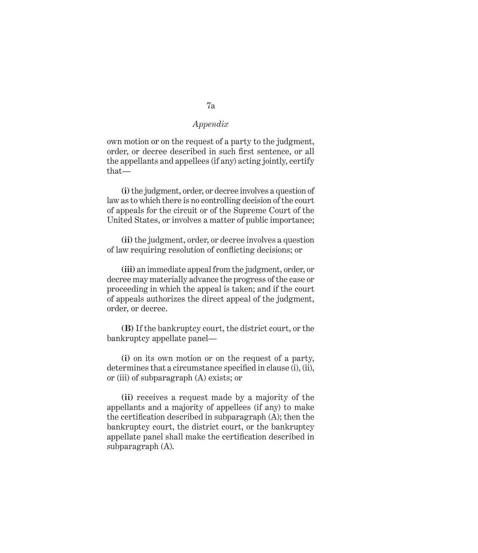own motion or on the request of a party to the judgment, order, or decree described in such first sentence, or all the appellants and appellees (if any) acting jointly, certify that—

**(i)** the judgment, order, or decree involves a question of law as to which there is no controlling decision of the court of appeals for the circuit or of the Supreme Court of the United States, or involves a matter of public importance;

**(ii)** the judgment, order, or decree involves a question of law requiring resolution of conflicting decisions; or

**(iii)** an immediate appeal from the judgment, order, or decree may materially advance the progress of the case or proceeding in which the appeal is taken; and if the court of appeals authorizes the direct appeal of the judgment, order, or decree.

**(B)** If the bankruptcy court, the district court, or the bankruptcy appellate panel—

**(i)** on its own motion or on the request of a party, determines that a circumstance specified in clause (i), (ii), or (iii) of subparagraph (A) exists; or

**(ii)** receives a request made by a majority of the appellants and a majority of appellees (if any) to make the certification described in subparagraph (A); then the bankruptcy court, the district court, or the bankruptcy appellate panel shall make the certification described in subparagraph (A).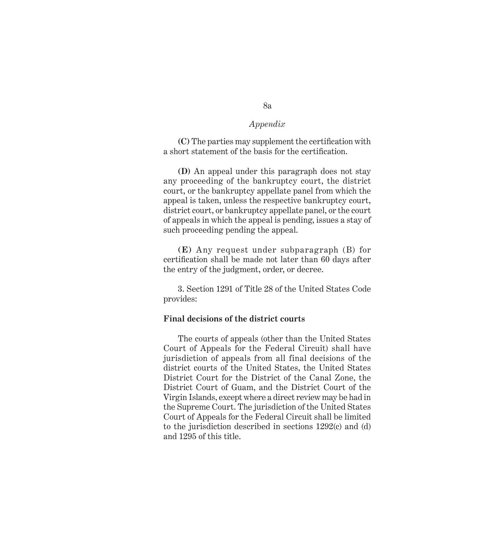**(C)** The parties may supplement the certification with a short statement of the basis for the certification.

**(D)** An appeal under this paragraph does not stay any proceeding of the bankruptcy court, the district court, or the bankruptcy appellate panel from which the appeal is taken, unless the respective bankruptcy court, district court, or bankruptcy appellate panel, or the court of appeals in which the appeal is pending, issues a stay of such proceeding pending the appeal.

**(E)** Any request under subparagraph (B) for certification shall be made not later than 60 days after the entry of the judgment, order, or decree.

3. Section 1291 of Title 28 of the United States Code provides:

## **Final decisions of the district courts**

The courts of appeals (other than the United States Court of Appeals for the Federal Circuit) shall have jurisdiction of appeals from all final decisions of the district courts of the United States, the United States District Court for the District of the Canal Zone, the District Court of Guam, and the District Court of the Virgin Islands, except where a direct review may be had in the Supreme Court. The jurisdiction of the United States Court of Appeals for the Federal Circuit shall be limited to the jurisdiction described in sections 1292(c) and (d) and 1295 of this title.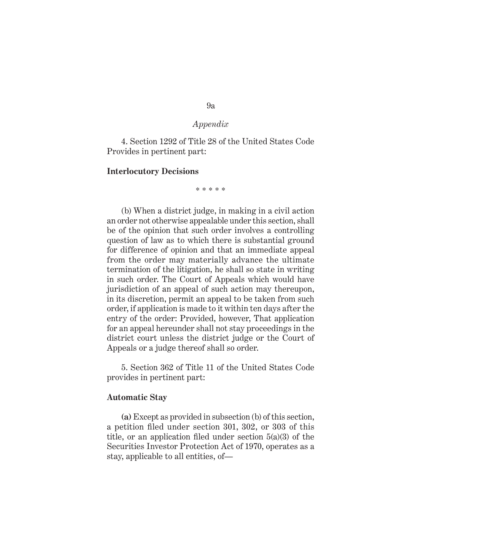4. Section 1292 of Title 28 of the United States Code Provides in pertinent part:

#### **Interlocutory Decisions**

\* \* \* \* \*

(b) When a district judge, in making in a civil action an order not otherwise appealable under this section, shall be of the opinion that such order involves a controlling question of law as to which there is substantial ground for difference of opinion and that an immediate appeal from the order may materially advance the ultimate termination of the litigation, he shall so state in writing in such order. The Court of Appeals which would have jurisdiction of an appeal of such action may thereupon, in its discretion, permit an appeal to be taken from such order, if application is made to it within ten days after the entry of the order: Provided, however, That application for an appeal hereunder shall not stay proceedings in the district court unless the district judge or the Court of Appeals or a judge thereof shall so order.

5. Section 362 of Title 11 of the United States Code provides in pertinent part:

#### **Automatic Stay**

**(a)** Except as provided in subsection (b) of this section, a petition filed under section 301, 302, or 303 of this title, or an application filed under section 5(a)(3) of the Securities Investor Protection Act of 1970, operates as a stay, applicable to all entities, of—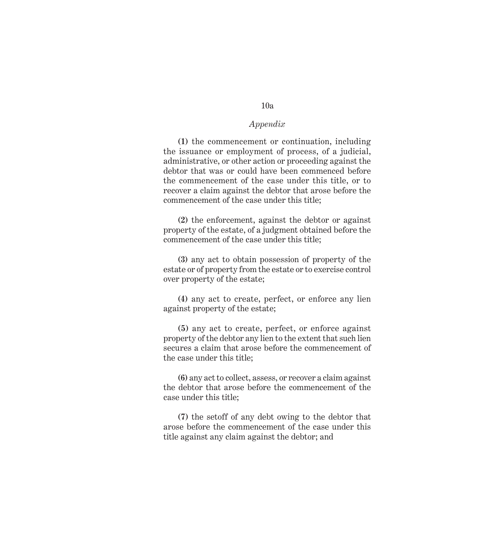## 10a

## *Appendix*

**(1)** the commencement or continuation, including the issuance or employment of process, of a judicial, administrative, or other action or proceeding against the debtor that was or could have been commenced before the commencement of the case under this title, or to recover a claim against the debtor that arose before the commencement of the case under this title;

**(2)** the enforcement, against the debtor or against property of the estate, of a judgment obtained before the commencement of the case under this title;

**(3)** any act to obtain possession of property of the estate or of property from the estate or to exercise control over property of the estate;

**(4)** any act to create, perfect, or enforce any lien against property of the estate;

**(5)** any act to create, perfect, or enforce against property of the debtor any lien to the extent that such lien secures a claim that arose before the commencement of the case under this title;

**(6)** any act to collect, assess, or recover a claim against the debtor that arose before the commencement of the case under this title;

**(7)** the setoff of any debt owing to the debtor that arose before the commencement of the case under this title against any claim against the debtor; and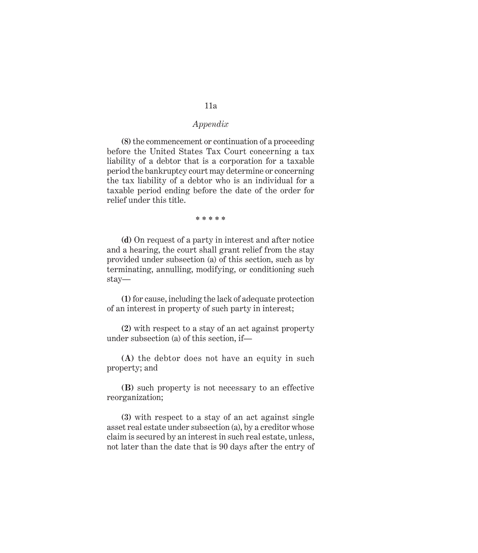**(8)** the commencement or continuation of a proceeding before the United States Tax Court concerning a tax liability of a debtor that is a corporation for a taxable period the bankruptcy court may determine or concerning the tax liability of a debtor who is an individual for a taxable period ending before the date of the order for relief under this title.

**\* \* \* \* \***

**(d)** On request of a party in interest and after notice and a hearing, the court shall grant relief from the stay provided under subsection (a) of this section, such as by terminating, annulling, modifying, or conditioning such stay—

**(1)** for cause, including the lack of adequate protection of an interest in property of such party in interest;

**(2)** with respect to a stay of an act against property under subsection (a) of this section, if—

**(A)** the debtor does not have an equity in such property; and

**(B)** such property is not necessary to an effective reorganization;

**(3)** with respect to a stay of an act against single asset real estate under subsection (a), by a creditor whose claim is secured by an interest in such real estate, unless, not later than the date that is 90 days after the entry of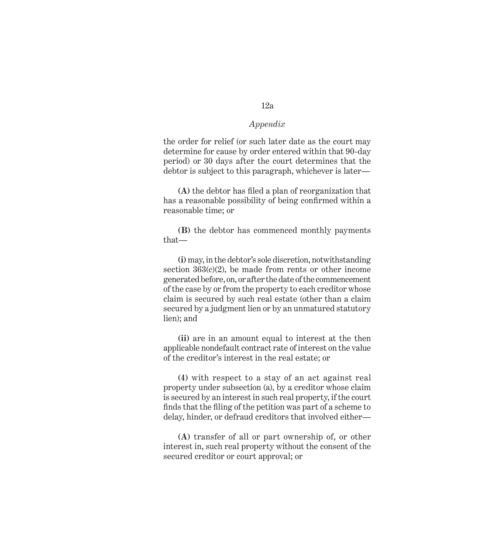the order for relief (or such later date as the court may determine for cause by order entered within that 90-day period) or 30 days after the court determines that the debtor is subject to this paragraph, whichever is later—

**(A)** the debtor has filed a plan of reorganization that has a reasonable possibility of being confirmed within a reasonable time; or

**(B)** the debtor has commenced monthly payments that—

**(i)** may, in the debtor's sole discretion, notwithstanding section  $363(c)(2)$ , be made from rents or other income generated before, on, or after the date of the commencement of the case by or from the property to each creditor whose claim is secured by such real estate (other than a claim secured by a judgment lien or by an unmatured statutory lien); and

**(ii)** are in an amount equal to interest at the then applicable nondefault contract rate of interest on the value of the creditor's interest in the real estate; or

**(4)** with respect to a stay of an act against real property under subsection (a), by a creditor whose claim is secured by an interest in such real property, if the court finds that the filing of the petition was part of a scheme to delay, hinder, or defraud creditors that involved either—

**(A)** transfer of all or part ownership of, or other interest in, such real property without the consent of the secured creditor or court approval; or